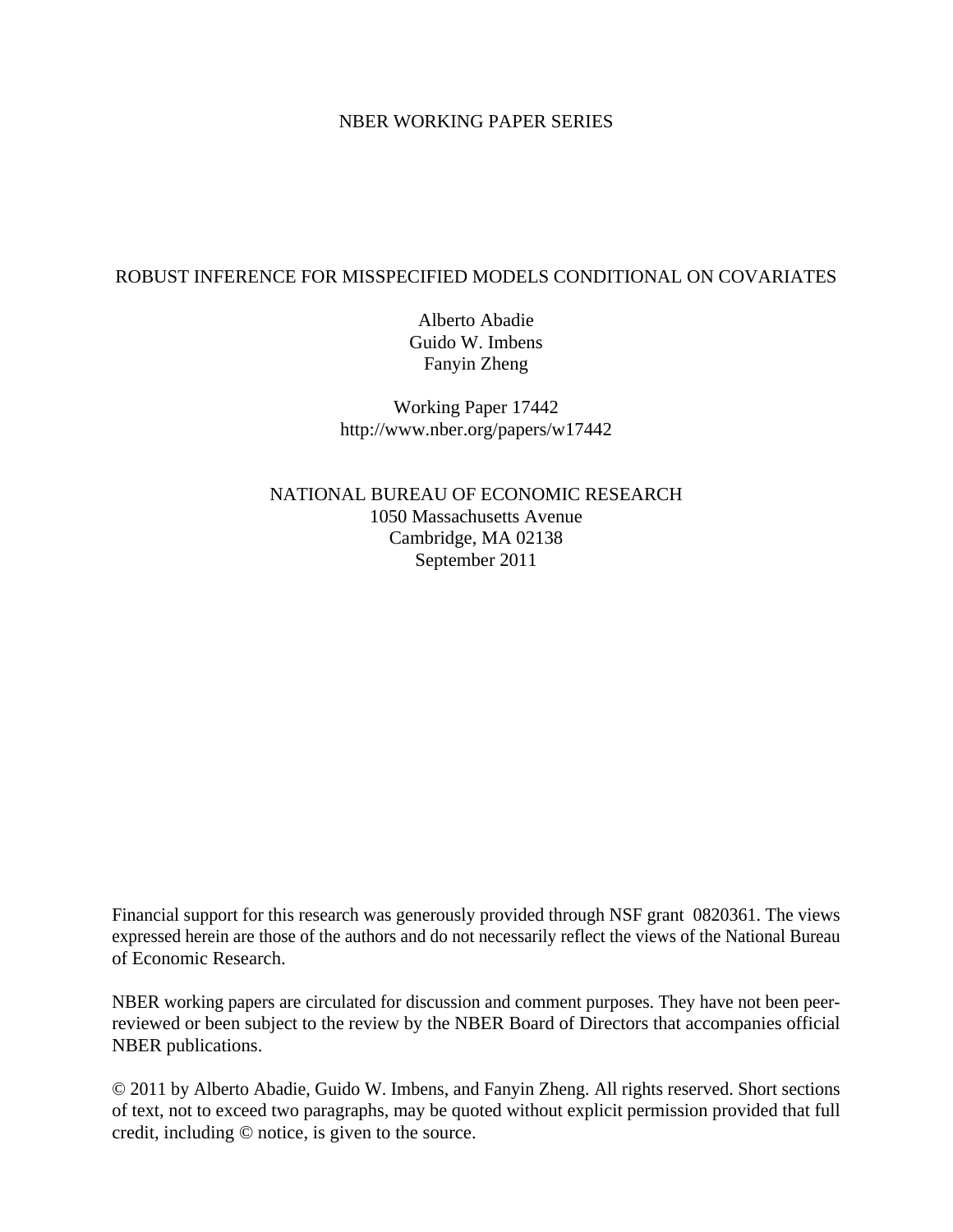## NBER WORKING PAPER SERIES

## ROBUST INFERENCE FOR MISSPECIFIED MODELS CONDITIONAL ON COVARIATES

Alberto Abadie Guido W. Imbens Fanyin Zheng

Working Paper 17442 http://www.nber.org/papers/w17442

NATIONAL BUREAU OF ECONOMIC RESEARCH 1050 Massachusetts Avenue Cambridge, MA 02138 September 2011

Financial support for this research was generously provided through NSF grant 0820361. The views expressed herein are those of the authors and do not necessarily reflect the views of the National Bureau of Economic Research.

NBER working papers are circulated for discussion and comment purposes. They have not been peerreviewed or been subject to the review by the NBER Board of Directors that accompanies official NBER publications.

© 2011 by Alberto Abadie, Guido W. Imbens, and Fanyin Zheng. All rights reserved. Short sections of text, not to exceed two paragraphs, may be quoted without explicit permission provided that full credit, including © notice, is given to the source.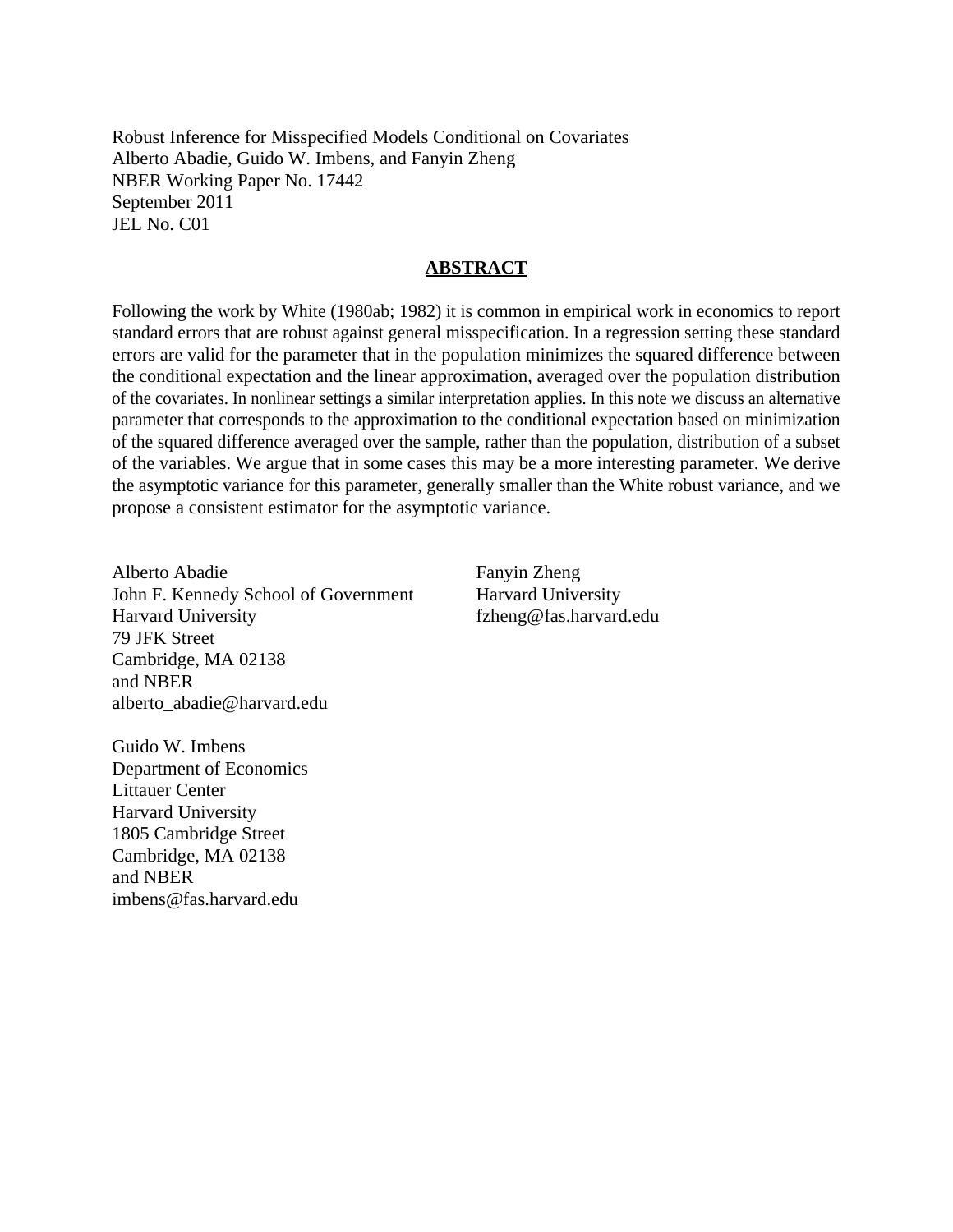Robust Inference for Misspecified Models Conditional on Covariates Alberto Abadie, Guido W. Imbens, and Fanyin Zheng NBER Working Paper No. 17442 September 2011 JEL No. C01

### **ABSTRACT**

Following the work by White (1980ab; 1982) it is common in empirical work in economics to report standard errors that are robust against general misspecification. In a regression setting these standard errors are valid for the parameter that in the population minimizes the squared difference between the conditional expectation and the linear approximation, averaged over the population distribution of the covariates. In nonlinear settings a similar interpretation applies. In this note we discuss an alternative parameter that corresponds to the approximation to the conditional expectation based on minimization of the squared difference averaged over the sample, rather than the population, distribution of a subset of the variables. We argue that in some cases this may be a more interesting parameter. We derive the asymptotic variance for this parameter, generally smaller than the White robust variance, and we propose a consistent estimator for the asymptotic variance.

Alberto Abadie John F. Kennedy School of Government Harvard University 79 JFK Street Cambridge, MA 02138 and NBER alberto\_abadie@harvard.edu

Fanyin Zheng Harvard University fzheng@fas.harvard.edu

Guido W. Imbens Department of Economics Littauer Center Harvard University 1805 Cambridge Street Cambridge, MA 02138 and NBER imbens@fas.harvard.edu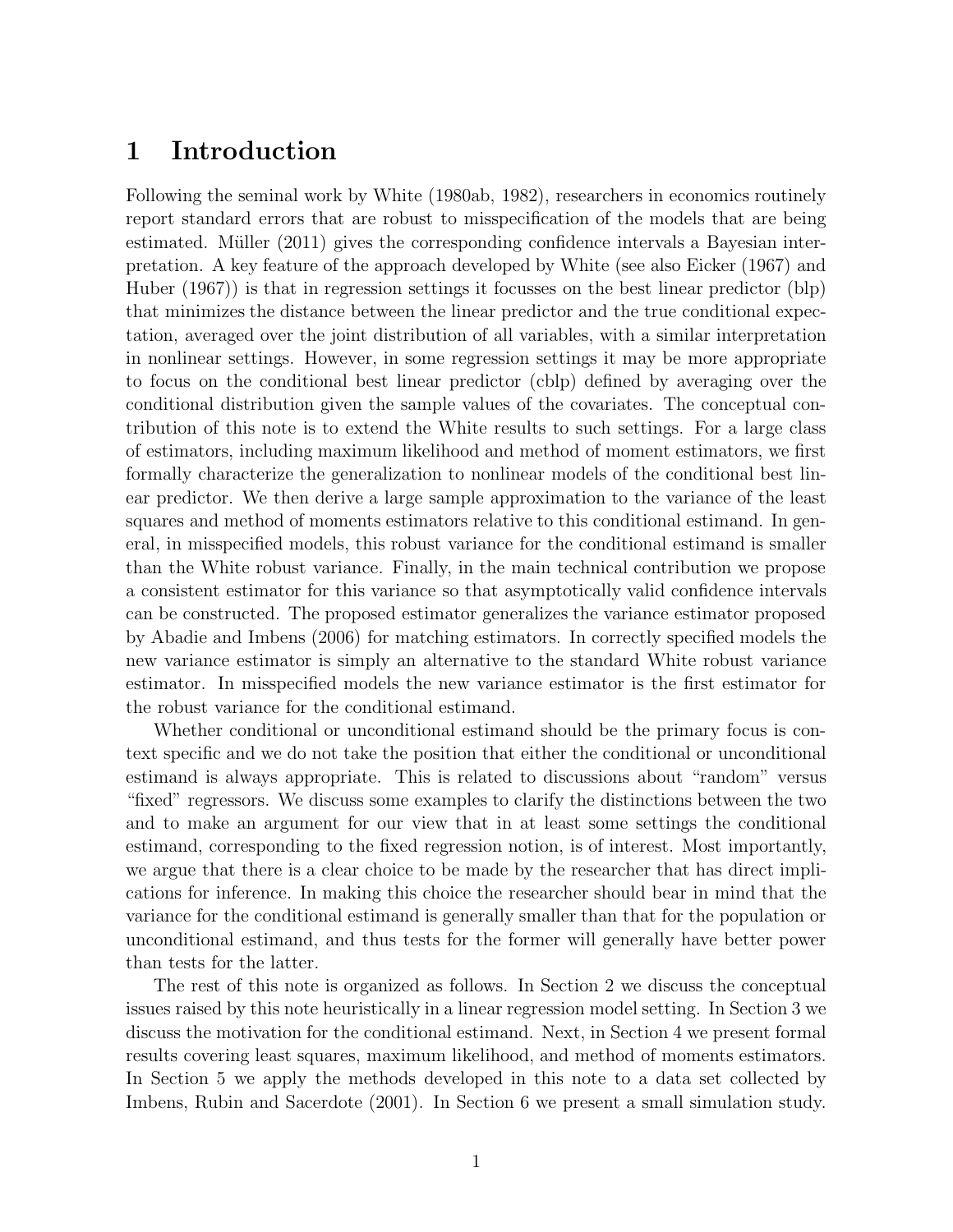# 1 Introduction

Following the seminal work by White (1980ab, 1982), researchers in economics routinely report standard errors that are robust to misspecification of the models that are being estimated. Müller  $(2011)$  gives the corresponding confidence intervals a Bayesian interpretation. A key feature of the approach developed by White (see also Eicker (1967) and Huber (1967)) is that in regression settings it focusses on the best linear predictor (blp) that minimizes the distance between the linear predictor and the true conditional expectation, averaged over the joint distribution of all variables, with a similar interpretation in nonlinear settings. However, in some regression settings it may be more appropriate to focus on the conditional best linear predictor (cblp) defined by averaging over the conditional distribution given the sample values of the covariates. The conceptual contribution of this note is to extend the White results to such settings. For a large class of estimators, including maximum likelihood and method of moment estimators, we first formally characterize the generalization to nonlinear models of the conditional best linear predictor. We then derive a large sample approximation to the variance of the least squares and method of moments estimators relative to this conditional estimand. In general, in misspecified models, this robust variance for the conditional estimand is smaller than the White robust variance. Finally, in the main technical contribution we propose a consistent estimator for this variance so that asymptotically valid confidence intervals can be constructed. The proposed estimator generalizes the variance estimator proposed by Abadie and Imbens (2006) for matching estimators. In correctly specified models the new variance estimator is simply an alternative to the standard White robust variance estimator. In misspecified models the new variance estimator is the first estimator for the robust variance for the conditional estimand.

Whether conditional or unconditional estimand should be the primary focus is context specific and we do not take the position that either the conditional or unconditional estimand is always appropriate. This is related to discussions about "random" versus "fixed" regressors. We discuss some examples to clarify the distinctions between the two and to make an argument for our view that in at least some settings the conditional estimand, corresponding to the fixed regression notion, is of interest. Most importantly, we argue that there is a clear choice to be made by the researcher that has direct implications for inference. In making this choice the researcher should bear in mind that the variance for the conditional estimand is generally smaller than that for the population or unconditional estimand, and thus tests for the former will generally have better power than tests for the latter.

The rest of this note is organized as follows. In Section 2 we discuss the conceptual issues raised by this note heuristically in a linear regression model setting. In Section 3 we discuss the motivation for the conditional estimand. Next, in Section 4 we present formal results covering least squares, maximum likelihood, and method of moments estimators. In Section 5 we apply the methods developed in this note to a data set collected by Imbens, Rubin and Sacerdote (2001). In Section 6 we present a small simulation study.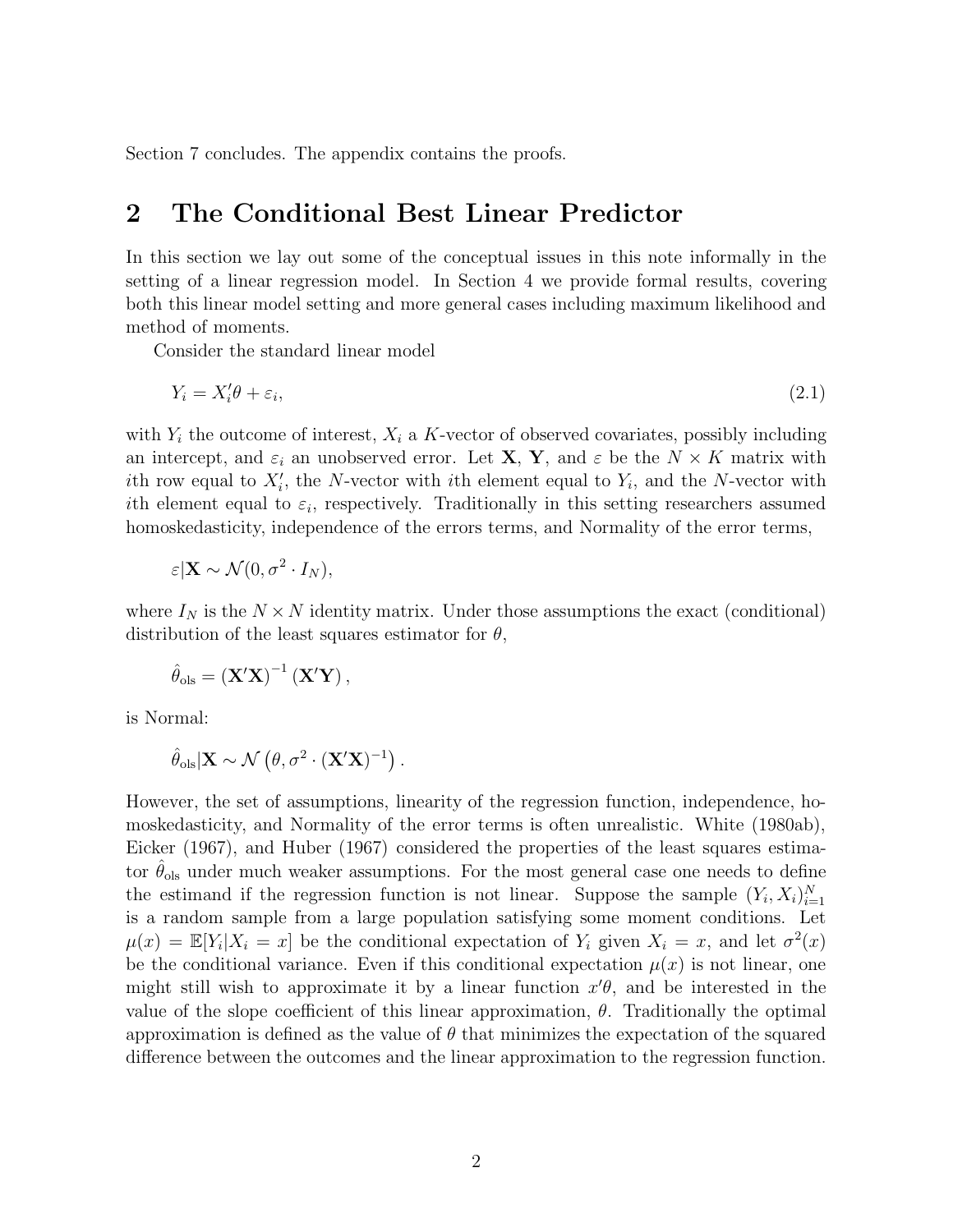Section 7 concludes. The appendix contains the proofs.

# 2 The Conditional Best Linear Predictor

In this section we lay out some of the conceptual issues in this note informally in the setting of a linear regression model. In Section 4 we provide formal results, covering both this linear model setting and more general cases including maximum likelihood and method of moments.

Consider the standard linear model

$$
Y_i = X_i' \theta + \varepsilon_i,\tag{2.1}
$$

with  $Y_i$  the outcome of interest,  $X_i$  a K-vector of observed covariates, possibly including an intercept, and  $\varepsilon_i$  an unobserved error. Let **X**, **Y**, and  $\varepsilon$  be the  $N \times K$  matrix with ith row equal to  $X_i'$ , the N-vector with ith element equal to  $Y_i$ , and the N-vector with ith element equal to  $\varepsilon_i$ , respectively. Traditionally in this setting researchers assumed homoskedasticity, independence of the errors terms, and Normality of the error terms,

$$
\varepsilon | \mathbf{X} \sim \mathcal{N}(0, \sigma^2 \cdot I_N),
$$

where  $I_N$  is the  $N \times N$  identity matrix. Under those assumptions the exact (conditional) distribution of the least squares estimator for  $\theta$ ,

$$
\hat{\theta}_{ols} = (\mathbf{X}'\mathbf{X})^{-1} (\mathbf{X}'\mathbf{Y}),
$$

is Normal:

$$
\hat{\theta}_{ols} | \mathbf{X} \sim \mathcal{N} (\theta, \sigma^2 \cdot (\mathbf{X}'\mathbf{X})^{-1}).
$$

However, the set of assumptions, linearity of the regression function, independence, homoskedasticity, and Normality of the error terms is often unrealistic. White (1980ab), Eicker (1967), and Huber (1967) considered the properties of the least squares estimator  $\hat{\theta}_{ols}$  under much weaker assumptions. For the most general case one needs to define the estimand if the regression function is not linear. Suppose the sample  $(Y_i, X_i)_{i=1}^N$ is a random sample from a large population satisfying some moment conditions. Let  $\mu(x) = \mathbb{E}[Y_i | X_i = x]$  be the conditional expectation of  $Y_i$  given  $X_i = x$ , and let  $\sigma^2(x)$ be the conditional variance. Even if this conditional expectation  $\mu(x)$  is not linear, one might still wish to approximate it by a linear function  $x'\theta$ , and be interested in the value of the slope coefficient of this linear approximation,  $\theta$ . Traditionally the optimal approximation is defined as the value of  $\theta$  that minimizes the expectation of the squared difference between the outcomes and the linear approximation to the regression function.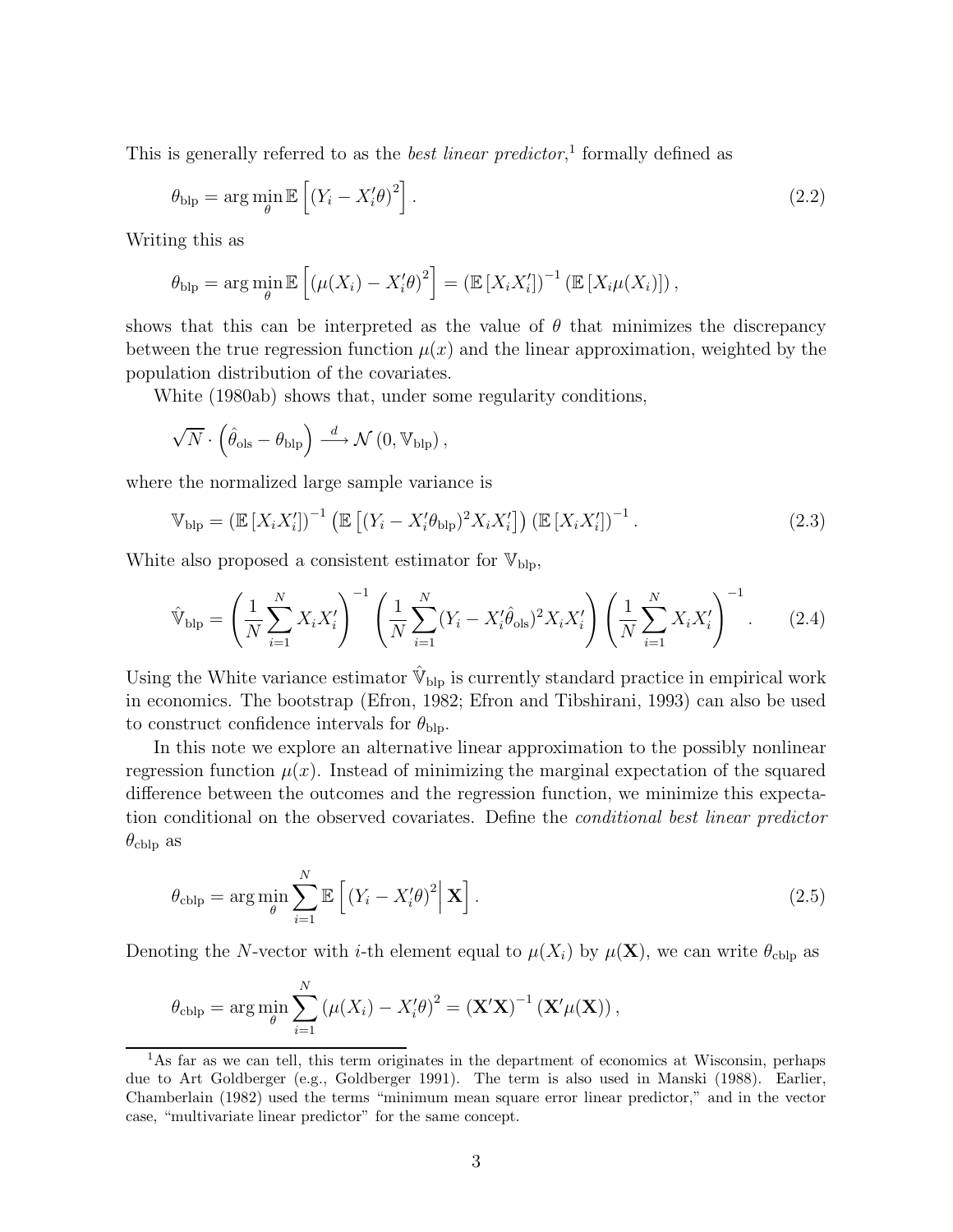This is generally referred to as the *best linear predictor*,<sup>1</sup> formally defined as

$$
\theta_{\rm blp} = \arg\min_{\theta} \mathbb{E}\left[ \left( Y_i - X_i' \theta \right)^2 \right]. \tag{2.2}
$$

Writing this as

$$
\theta_{\text{blp}} = \arg \min_{\theta} \mathbb{E} \left[ \left( \mu(X_i) - X'_i \theta \right)^2 \right] = \left( \mathbb{E} \left[ X_i X'_i \right] \right)^{-1} \left( \mathbb{E} \left[ X_i \mu(X_i) \right] \right),
$$

shows that this can be interpreted as the value of  $\theta$  that minimizes the discrepancy between the true regression function  $\mu(x)$  and the linear approximation, weighted by the population distribution of the covariates.

White (1980ab) shows that, under some regularity conditions,

$$
\sqrt{N}\cdot\left(\hat{\theta}_{\text{ols}}-\theta_{\text{blp}}\right)\overset{d}{\longrightarrow}\mathcal{N}\left(0,\mathbb{V}_{\text{blp}}\right),
$$

where the normalized large sample variance is

$$
\mathbb{V}_{\text{blp}} = \left(\mathbb{E}\left[X_i X_i'\right]\right)^{-1} \left(\mathbb{E}\left[\left(Y_i - X_i'\theta_{\text{blp}}\right)^2 X_i X_i'\right]\right) \left(\mathbb{E}\left[X_i X_i'\right]\right)^{-1}.\tag{2.3}
$$

White also proposed a consistent estimator for  $V_{\text{blp}}$ ,

$$
\hat{\mathbb{V}}_{\text{blp}} = \left(\frac{1}{N} \sum_{i=1}^{N} X_i X_i'\right)^{-1} \left(\frac{1}{N} \sum_{i=1}^{N} (Y_i - X_i' \hat{\theta}_{\text{ols}})^2 X_i X_i'\right) \left(\frac{1}{N} \sum_{i=1}^{N} X_i X_i'\right)^{-1}.
$$
 (2.4)

Using the White variance estimator  $\hat{V}_{\text{blp}}$  is currently standard practice in empirical work in economics. The bootstrap (Efron, 1982; Efron and Tibshirani, 1993) can also be used to construct confidence intervals for  $\theta_{\text{blp}}$ .

In this note we explore an alternative linear approximation to the possibly nonlinear regression function  $\mu(x)$ . Instead of minimizing the marginal expectation of the squared difference between the outcomes and the regression function, we minimize this expectation conditional on the observed covariates. Define the conditional best linear predictor  $\theta_{\text{cblp}}$  as

$$
\theta_{\text{cblp}} = \arg \min_{\theta} \sum_{i=1}^{N} \mathbb{E} \left[ \left( Y_i - X'_i \theta \right)^2 \middle| \mathbf{X} \right]. \tag{2.5}
$$

Denoting the N-vector with *i*-th element equal to  $\mu(X_i)$  by  $\mu(\mathbf{X})$ , we can write  $\theta_{\text{cblp}}$  as

$$
\theta_{\text{cblp}} = \arg \min_{\theta} \sum_{i=1}^{N} (\mu(X_i) - X'_i \theta)^2 = (\mathbf{X}'\mathbf{X})^{-1} (\mathbf{X}'\mu(\mathbf{X})),
$$

<sup>&</sup>lt;sup>1</sup>As far as we can tell, this term originates in the department of economics at Wisconsin, perhaps due to Art Goldberger (e.g., Goldberger 1991). The term is also used in Manski (1988). Earlier, Chamberlain (1982) used the terms "minimum mean square error linear predictor," and in the vector case, "multivariate linear predictor" for the same concept.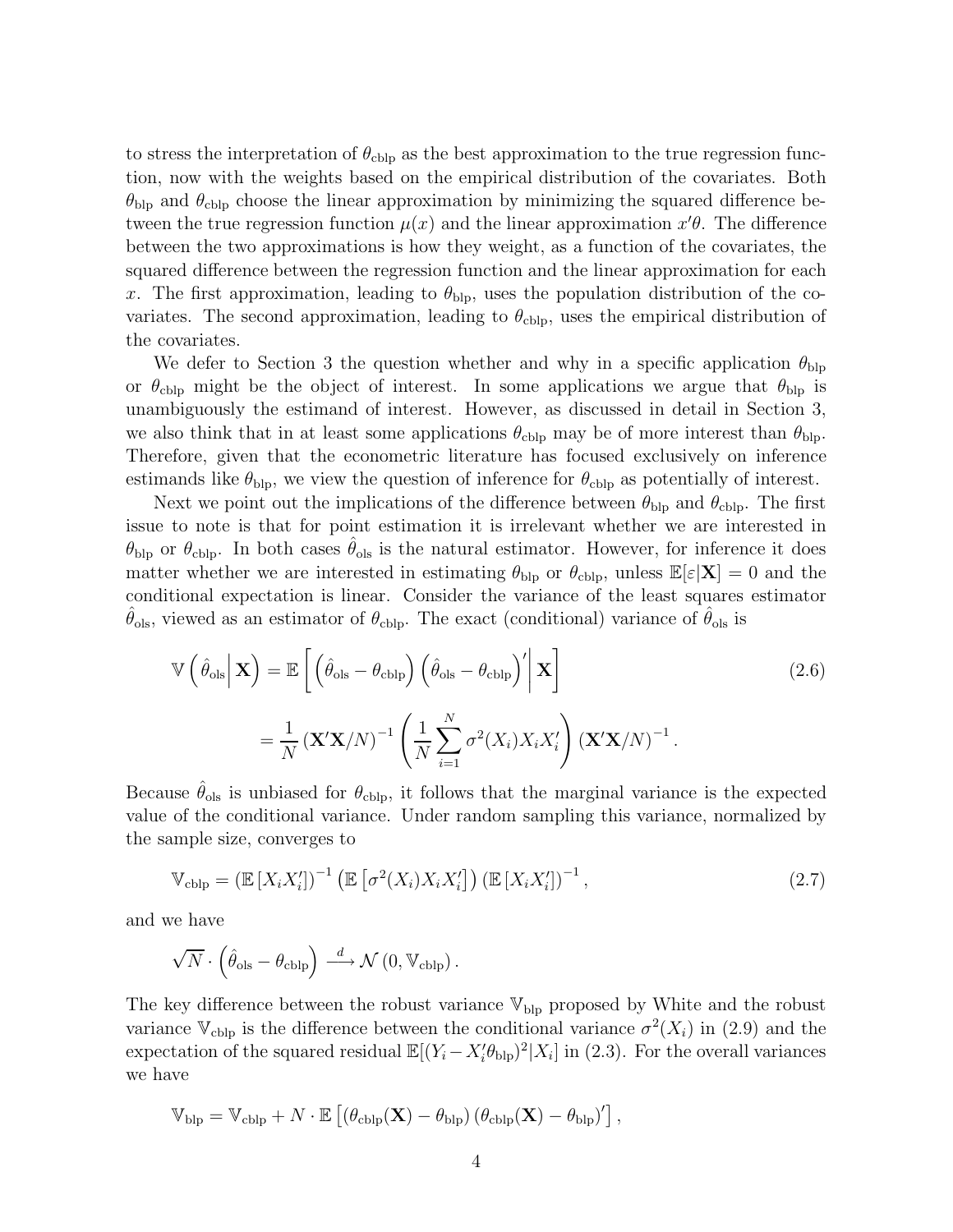to stress the interpretation of  $\theta_{\text{cblp}}$  as the best approximation to the true regression function, now with the weights based on the empirical distribution of the covariates. Both  $\theta_{\rm blp}$  and  $\theta_{\rm cblp}$  choose the linear approximation by minimizing the squared difference between the true regression function  $\mu(x)$  and the linear approximation  $x'\theta$ . The difference between the two approximations is how they weight, as a function of the covariates, the squared difference between the regression function and the linear approximation for each x. The first approximation, leading to  $\theta_{\text{blp}}$ , uses the population distribution of the covariates. The second approximation, leading to  $\theta_{\text{cblp}}$ , uses the empirical distribution of the covariates.

We defer to Section 3 the question whether and why in a specific application  $\theta_{\text{blp}}$ or  $\theta_{\text{cblp}}$  might be the object of interest. In some applications we argue that  $\theta_{\text{blp}}$  is unambiguously the estimand of interest. However, as discussed in detail in Section 3, we also think that in at least some applications  $\theta_{\text{cblp}}$  may be of more interest than  $\theta_{\text{blp}}$ . Therefore, given that the econometric literature has focused exclusively on inference estimands like  $\theta_{\text{blp}}$ , we view the question of inference for  $\theta_{\text{colp}}$  as potentially of interest.

Next we point out the implications of the difference between  $\theta_{\text{blp}}$  and  $\theta_{\text{cblp}}$ . The first issue to note is that for point estimation it is irrelevant whether we are interested in  $\theta_{\rm blp}$  or  $\theta_{\rm cblp}$ . In both cases  $\theta_{\rm ols}$  is the natural estimator. However, for inference it does matter whether we are interested in estimating  $\theta_{\text{blp}}$  or  $\theta_{\text{clip}}$ , unless  $\mathbb{E}[\varepsilon|\mathbf{X}] = 0$  and the conditional expectation is linear. Consider the variance of the least squares estimator  $\theta_{\text{ols}}$ , viewed as an estimator of  $\theta_{\text{obj}}$ . The exact (conditional) variance of  $\theta_{\text{ols}}$  is

$$
\mathbb{V}\left(\hat{\theta}_{\text{ols}}\Big|\mathbf{X}\right) = \mathbb{E}\left[\left(\hat{\theta}_{\text{ols}} - \theta_{\text{cblp}}\right)\left(\hat{\theta}_{\text{ols}} - \theta_{\text{cblp}}\right)'\Big|\mathbf{X}\right]
$$
\n
$$
= \frac{1}{N}\left(\mathbf{X}'\mathbf{X}/N\right)^{-1}\left(\frac{1}{N}\sum_{i=1}^{N}\sigma^{2}(X_{i})X_{i}X_{i}'\right)\left(\mathbf{X}'\mathbf{X}/N\right)^{-1}.
$$
\n(2.6)

Because  $\theta_{\text{ols}}$  is unbiased for  $\theta_{\text{cblp}}$ , it follows that the marginal variance is the expected value of the conditional variance. Under random sampling this variance, normalized by the sample size, converges to

$$
\mathbb{V}_{\text{cblp}} = \left(\mathbb{E}\left[X_i X_i'\right]\right)^{-1} \left(\mathbb{E}\left[\sigma^2(X_i) X_i X_i'\right]\right) \left(\mathbb{E}\left[X_i X_i'\right]\right)^{-1},\tag{2.7}
$$

and we have

$$
\sqrt{N}\cdot\left(\widehat{\theta}_\text{ols}-\theta_\text{cblp}\right)\stackrel{d}{\longrightarrow}\mathcal{N}\left(0,\mathbb{V}_\text{cblp}\right).
$$

The key difference between the robust variance  $V_{\text{blp}}$  proposed by White and the robust variance  $\mathbb{V}_{\text{cblp}}$  is the difference between the conditional variance  $\sigma^2(X_i)$  in (2.9) and the expectation of the squared residual  $\mathbb{E}[(Y_i - X_i' \theta_{\text{blp}})^2 | X_i]$  in (2.3). For the overall variances we have

$$
\mathbb{V}_{\text{blp}} = \mathbb{V}_{\text{cblp}} + N \cdot \mathbb{E} \left[ \left( \theta_{\text{cblp}}(\mathbf{X}) - \theta_{\text{blp}} \right) \left( \theta_{\text{cblp}}(\mathbf{X}) - \theta_{\text{blp}} \right)' \right],
$$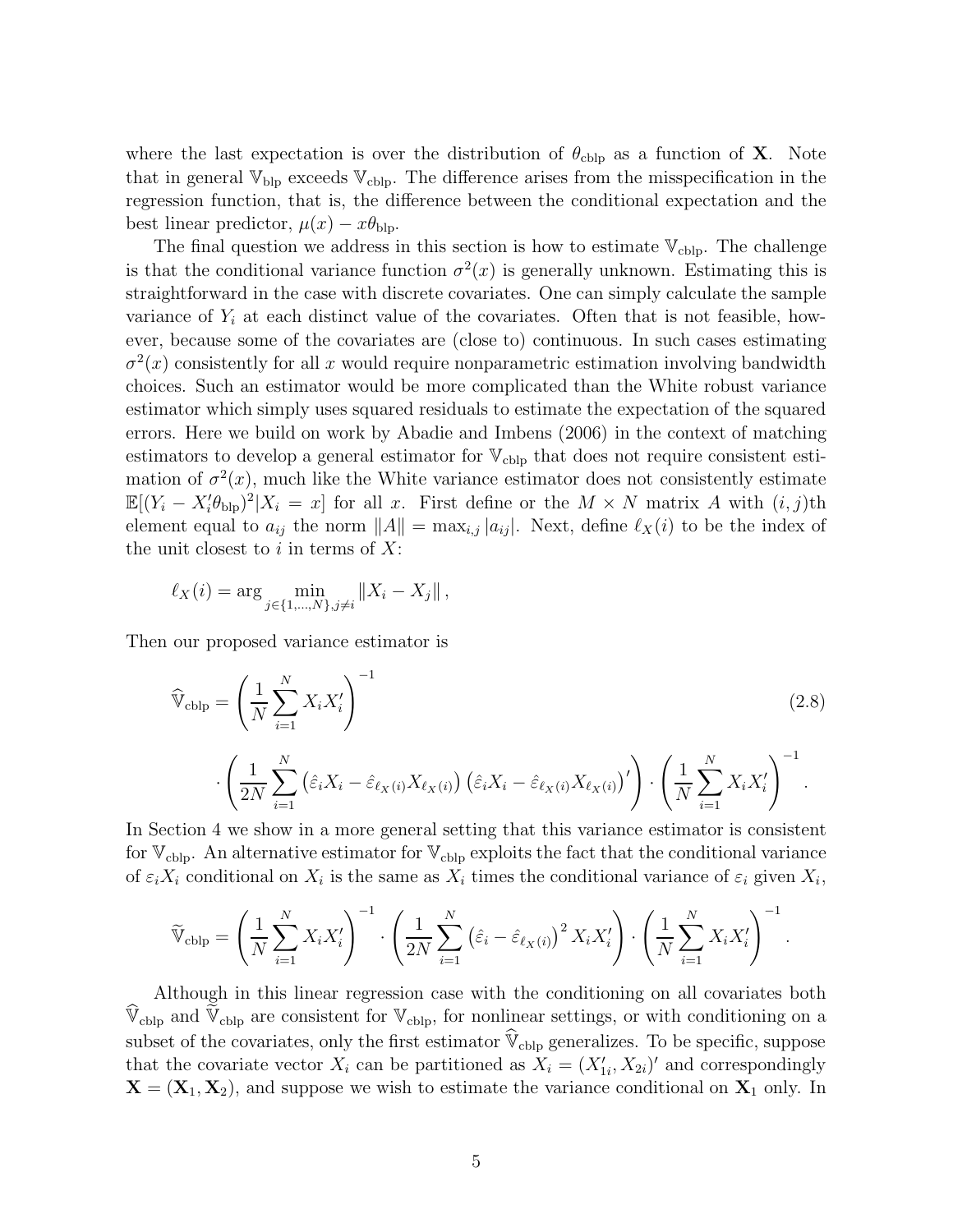where the last expectation is over the distribution of  $\theta_{\text{cblp}}$  as a function of **X**. Note that in general  $\mathbb{V}_{\text{blp}}$  exceeds  $\mathbb{V}_{\text{colp}}$ . The difference arises from the misspecification in the regression function, that is, the difference between the conditional expectation and the best linear predictor,  $\mu(x) - x\theta_{\text{blp}}$ .

The final question we address in this section is how to estimate  $V_{\text{cblp}}$ . The challenge is that the conditional variance function  $\sigma^2(x)$  is generally unknown. Estimating this is straightforward in the case with discrete covariates. One can simply calculate the sample variance of  $Y_i$  at each distinct value of the covariates. Often that is not feasible, however, because some of the covariates are (close to) continuous. In such cases estimating  $\sigma^2(x)$  consistently for all x would require nonparametric estimation involving bandwidth choices. Such an estimator would be more complicated than the White robust variance estimator which simply uses squared residuals to estimate the expectation of the squared errors. Here we build on work by Abadie and Imbens (2006) in the context of matching estimators to develop a general estimator for  $V_{\text{cblp}}$  that does not require consistent estimation of  $\sigma^2(x)$ , much like the White variance estimator does not consistently estimate  $\mathbb{E}[(Y_i - X_i' \theta_{\text{blp}})^2 | X_i = x]$  for all x. First define or the  $M \times N$  matrix A with  $(i, j)$ th element equal to  $a_{ij}$  the norm  $||A|| = \max_{i,j} |a_{ij}|$ . Next, define  $\ell_X(i)$  to be the index of the unit closest to i in terms of  $X$ :

$$
\ell_X(i) = \arg \min_{j \in \{1, ..., N\}, j \neq i} \|X_i - X_j\|,
$$

Then our proposed variance estimator is

$$
\widehat{\mathbb{V}}_{\text{cblp}} = \left(\frac{1}{N} \sum_{i=1}^{N} X_i X_i'\right)^{-1} \tag{2.8}
$$
\n
$$
\cdot \left(\frac{1}{2N} \sum_{i=1}^{N} \left(\widehat{\varepsilon}_i X_i - \widehat{\varepsilon}_{\ell_X(i)} X_{\ell_X(i)}\right) \left(\widehat{\varepsilon}_i X_i - \widehat{\varepsilon}_{\ell_X(i)} X_{\ell_X(i)}\right)' \right) \cdot \left(\frac{1}{N} \sum_{i=1}^{N} X_i X_i'\right)^{-1}.
$$

In Section 4 we show in a more general setting that this variance estimator is consistent for  $\mathbb{V}_{\text{cblp}}$ . An alternative estimator for  $\mathbb{V}_{\text{cblp}}$  exploits the fact that the conditional variance of  $\varepsilon_i X_i$  conditional on  $X_i$  is the same as  $X_i$  times the conditional variance of  $\varepsilon_i$  given  $X_i$ ,

$$
\widetilde{\mathbb{V}}_{\text{cblp}} = \left(\frac{1}{N} \sum_{i=1}^{N} X_i X_i'\right)^{-1} \cdot \left(\frac{1}{2N} \sum_{i=1}^{N} \left(\hat{\varepsilon}_i - \hat{\varepsilon}_{\ell_X(i)}\right)^2 X_i X_i'\right) \cdot \left(\frac{1}{N} \sum_{i=1}^{N} X_i X_i'\right)^{-1}.
$$

Although in this linear regression case with the conditioning on all covariates both  $\mathbb{V}_{\text{cblp}}$  and  $\mathbb{V}_{\text{cblp}}$  are consistent for  $\mathbb{V}_{\text{cblp}}$ , for nonlinear settings, or with conditioning on a subset of the covariates, only the first estimator  $\hat{V}_{cblp}$  generalizes. To be specific, suppose that the covariate vector  $X_i$  can be partitioned as  $X_i = (X'_{1i}, X_{2i})'$  and correspondingly  $X = (X_1, X_2)$ , and suppose we wish to estimate the variance conditional on  $X_1$  only. In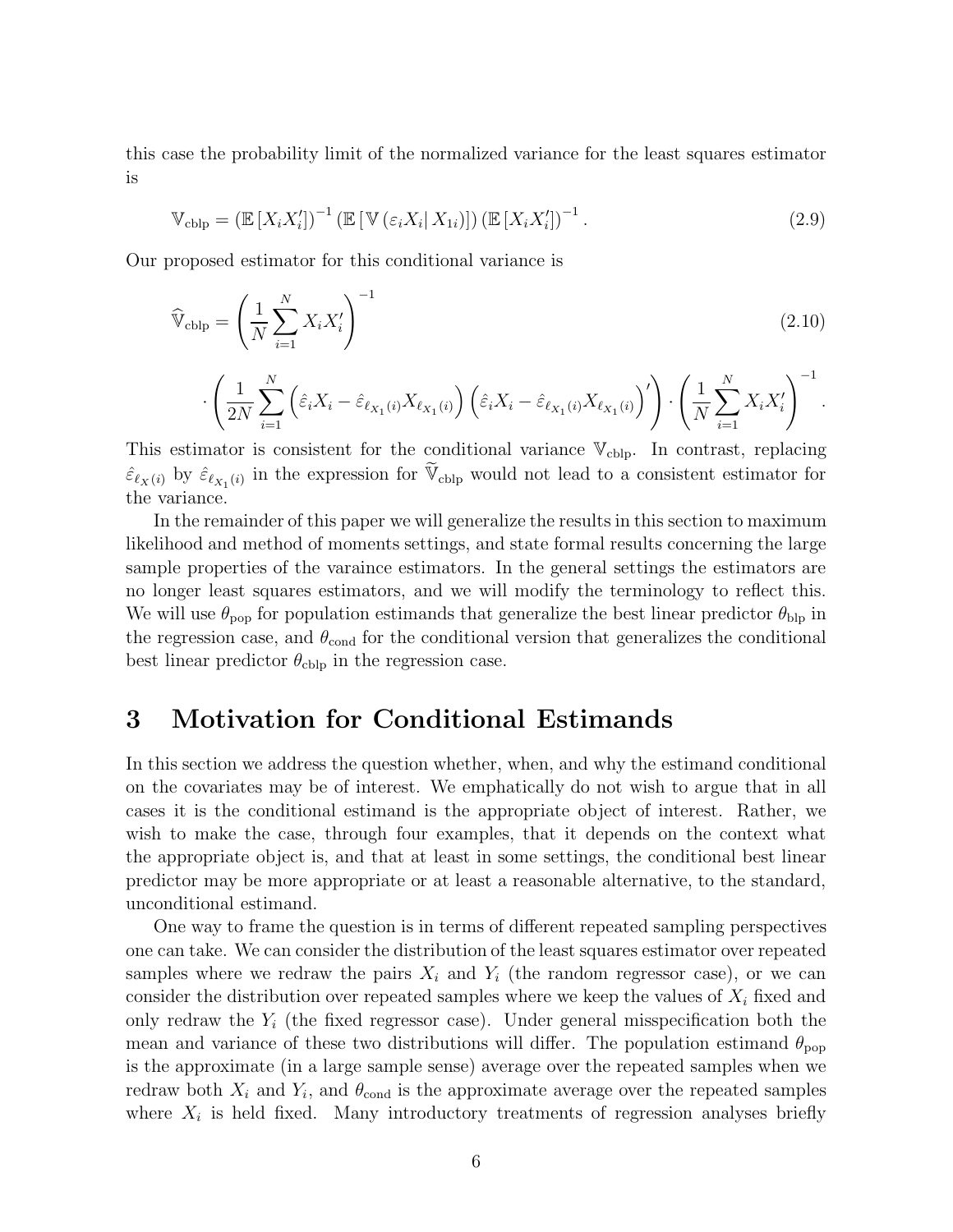this case the probability limit of the normalized variance for the least squares estimator is

$$
\mathbb{V}_{\text{cblp}} = \left(\mathbb{E}\left[X_i X_i'\right]\right)^{-1} \left(\mathbb{E}\left[\mathbb{V}\left(\varepsilon_i X_i \mid X_{1i}\right)\right]\right) \left(\mathbb{E}\left[X_i X_i'\right]\right)^{-1}.\tag{2.9}
$$

Our proposed estimator for this conditional variance is

$$
\widehat{\mathbb{V}}_{\text{cblp}} = \left(\frac{1}{N} \sum_{i=1}^{N} X_i X_i'\right)^{-1} \tag{2.10}
$$

$$
\left.\left.\cdot\left(\frac{1}{2N}\sum_{i=1}^N\left(\hat{\varepsilon}_iX_i-\hat{\varepsilon}_{\ell_{X_1}(i)}X_{\ell_{X_1}(i)}\right)\left(\hat{\varepsilon}_iX_i-\hat{\varepsilon}_{\ell_{X_1}(i)}X_{\ell_{X_1}(i)}\right)'\right)\cdot\left(\frac{1}{N}\sum_{i=1}^NX_iX_i'\right)^{-1}\right].
$$

This estimator is consistent for the conditional variance  $V_{\text{cblp}}$ . In contrast, replacing  $\hat{\varepsilon}_{\ell_X(i)}$  by  $\hat{\varepsilon}_{\ell_{X_1}(i)}$  in the expression for  $\widetilde{\mathbb{V}}_{\text{cblp}}$  would not lead to a consistent estimator for the variance.

In the remainder of this paper we will generalize the results in this section to maximum likelihood and method of moments settings, and state formal results concerning the large sample properties of the varaince estimators. In the general settings the estimators are no longer least squares estimators, and we will modify the terminology to reflect this. We will use  $\theta_{\text{pop}}$  for population estimands that generalize the best linear predictor  $\theta_{\text{blp}}$  in the regression case, and  $\theta_{\text{cond}}$  for the conditional version that generalizes the conditional best linear predictor  $\theta_{\text{cblp}}$  in the regression case.

# 3 Motivation for Conditional Estimands

In this section we address the question whether, when, and why the estimand conditional on the covariates may be of interest. We emphatically do not wish to argue that in all cases it is the conditional estimand is the appropriate object of interest. Rather, we wish to make the case, through four examples, that it depends on the context what the appropriate object is, and that at least in some settings, the conditional best linear predictor may be more appropriate or at least a reasonable alternative, to the standard, unconditional estimand.

One way to frame the question is in terms of different repeated sampling perspectives one can take. We can consider the distribution of the least squares estimator over repeated samples where we redraw the pairs  $X_i$  and  $Y_i$  (the random regressor case), or we can consider the distribution over repeated samples where we keep the values of  $X_i$  fixed and only redraw the  $Y_i$  (the fixed regressor case). Under general misspecification both the mean and variance of these two distributions will differ. The population estimand  $\theta_{\text{pop}}$ is the approximate (in a large sample sense) average over the repeated samples when we redraw both  $X_i$  and  $Y_i$ , and  $\theta_{\text{cond}}$  is the approximate average over the repeated samples where  $X_i$  is held fixed. Many introductory treatments of regression analyses briefly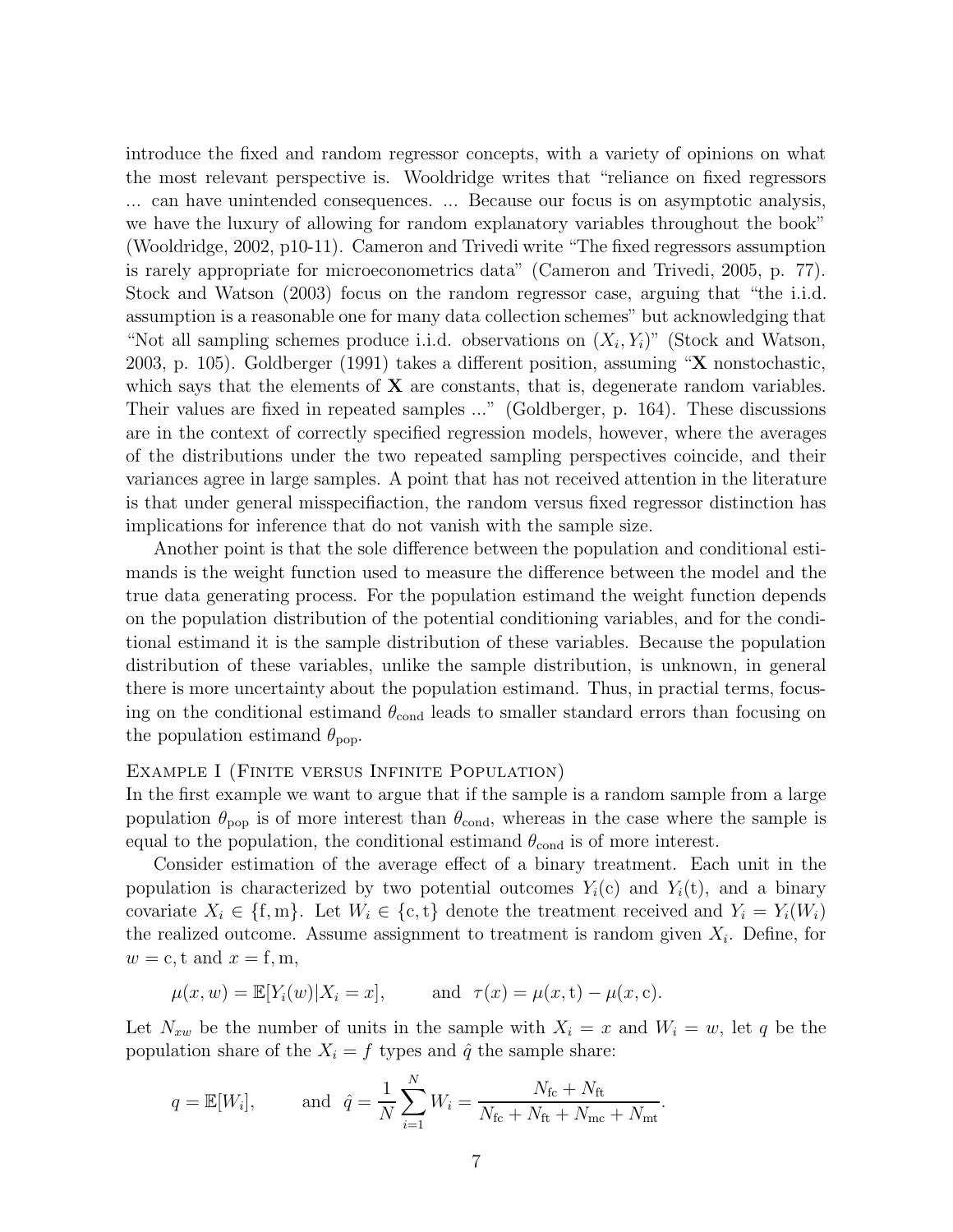introduce the fixed and random regressor concepts, with a variety of opinions on what the most relevant perspective is. Wooldridge writes that "reliance on fixed regressors ... can have unintended consequences. ... Because our focus is on asymptotic analysis, we have the luxury of allowing for random explanatory variables throughout the book" (Wooldridge, 2002, p10-11). Cameron and Trivedi write "The fixed regressors assumption is rarely appropriate for microeconometrics data" (Cameron and Trivedi, 2005, p. 77). Stock and Watson (2003) focus on the random regressor case, arguing that "the i.i.d. assumption is a reasonable one for many data collection schemes" but acknowledging that "Not all sampling schemes produce i.i.d. observations on  $(X_i, Y_i)$ " (Stock and Watson, 2003, p. 105). Goldberger (1991) takes a different position, assuming " $X$  nonstochastic, which says that the elements of  $X$  are constants, that is, degenerate random variables. Their values are fixed in repeated samples ..." (Goldberger, p. 164). These discussions are in the context of correctly specified regression models, however, where the averages of the distributions under the two repeated sampling perspectives coincide, and their variances agree in large samples. A point that has not received attention in the literature is that under general misspecifiaction, the random versus fixed regressor distinction has implications for inference that do not vanish with the sample size.

Another point is that the sole difference between the population and conditional estimands is the weight function used to measure the difference between the model and the true data generating process. For the population estimand the weight function depends on the population distribution of the potential conditioning variables, and for the conditional estimand it is the sample distribution of these variables. Because the population distribution of these variables, unlike the sample distribution, is unknown, in general there is more uncertainty about the population estimand. Thus, in practial terms, focusing on the conditional estimand  $\theta_{\text{cond}}$  leads to smaller standard errors than focusing on the population estimand  $\theta_{\text{pop}}$ .

#### Example I (Finite versus Infinite Population)

In the first example we want to argue that if the sample is a random sample from a large population  $\theta_{\text{pop}}$  is of more interest than  $\theta_{\text{cond}}$ , whereas in the case where the sample is equal to the population, the conditional estimand  $\theta_{\text{cond}}$  is of more interest.

Consider estimation of the average effect of a binary treatment. Each unit in the population is characterized by two potential outcomes  $Y_i(c)$  and  $Y_i(t)$ , and a binary covariate  $X_i \in \{\text{f}, \text{m}\}\.$  Let  $W_i \in \{\text{c}, \text{t}\}\$  denote the treatment received and  $Y_i = Y_i(W_i)$ the realized outcome. Assume assignment to treatment is random given  $X_i$ . Define, for  $w = c, t \text{ and } x = f, m,$ 

$$
\mu(x, w) = \mathbb{E}[Y_i(w)|X_i = x],
$$
 and  $\tau(x) = \mu(x, t) - \mu(x, c).$ 

Let  $N_{xw}$  be the number of units in the sample with  $X_i = x$  and  $W_i = w$ , let q be the population share of the  $X_i = f$  types and  $\hat{q}$  the sample share:

$$
q = \mathbb{E}[W_i],
$$
 and  $\hat{q} = \frac{1}{N} \sum_{i=1}^{N} W_i = \frac{N_{\text{fc}} + N_{\text{ft}}}{N_{\text{fc}} + N_{\text{ft}} + N_{\text{mc}} + N_{\text{mt}}}.$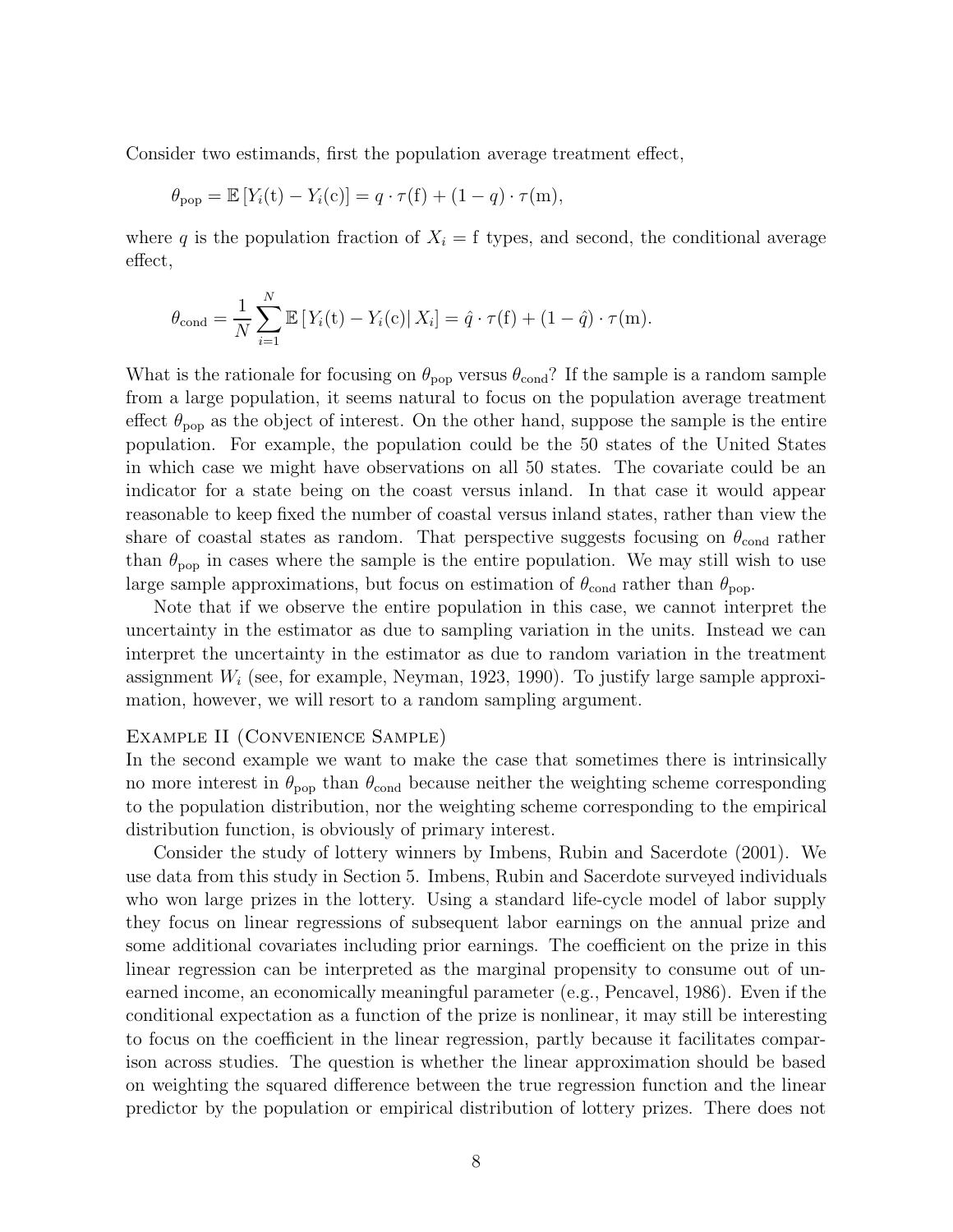Consider two estimands, first the population average treatment effect,

$$
\theta_{\text{pop}} = \mathbb{E}\left[Y_i(t) - Y_i(c)\right] = q \cdot \tau(f) + (1 - q) \cdot \tau(m),
$$

where q is the population fraction of  $X_i = f$  types, and second, the conditional average effect,

$$
\theta_{\text{cond}} = \frac{1}{N} \sum_{i=1}^{N} \mathbb{E} \left[ Y_i(t) - Y_i(c) \right| X_i \right] = \hat{q} \cdot \tau(f) + (1 - \hat{q}) \cdot \tau(m).
$$

What is the rationale for focusing on  $\theta_{\text{pop}}$  versus  $\theta_{\text{cond}}$ ? If the sample is a random sample from a large population, it seems natural to focus on the population average treatment effect  $\theta_{\text{pop}}$  as the object of interest. On the other hand, suppose the sample is the entire population. For example, the population could be the 50 states of the United States in which case we might have observations on all 50 states. The covariate could be an indicator for a state being on the coast versus inland. In that case it would appear reasonable to keep fixed the number of coastal versus inland states, rather than view the share of coastal states as random. That perspective suggests focusing on  $\theta_{\text{cond}}$  rather than  $\theta_{\text{pop}}$  in cases where the sample is the entire population. We may still wish to use large sample approximations, but focus on estimation of  $\theta_{\text{cond}}$  rather than  $\theta_{\text{pop}}$ .

Note that if we observe the entire population in this case, we cannot interpret the uncertainty in the estimator as due to sampling variation in the units. Instead we can interpret the uncertainty in the estimator as due to random variation in the treatment assignment  $W_i$  (see, for example, Neyman, 1923, 1990). To justify large sample approximation, however, we will resort to a random sampling argument.

#### Example II (Convenience Sample)

In the second example we want to make the case that sometimes there is intrinsically no more interest in  $\theta_{\text{pop}}$  than  $\theta_{\text{cond}}$  because neither the weighting scheme corresponding to the population distribution, nor the weighting scheme corresponding to the empirical distribution function, is obviously of primary interest.

Consider the study of lottery winners by Imbens, Rubin and Sacerdote (2001). We use data from this study in Section 5. Imbens, Rubin and Sacerdote surveyed individuals who won large prizes in the lottery. Using a standard life-cycle model of labor supply they focus on linear regressions of subsequent labor earnings on the annual prize and some additional covariates including prior earnings. The coefficient on the prize in this linear regression can be interpreted as the marginal propensity to consume out of unearned income, an economically meaningful parameter (e.g., Pencavel, 1986). Even if the conditional expectation as a function of the prize is nonlinear, it may still be interesting to focus on the coefficient in the linear regression, partly because it facilitates comparison across studies. The question is whether the linear approximation should be based on weighting the squared difference between the true regression function and the linear predictor by the population or empirical distribution of lottery prizes. There does not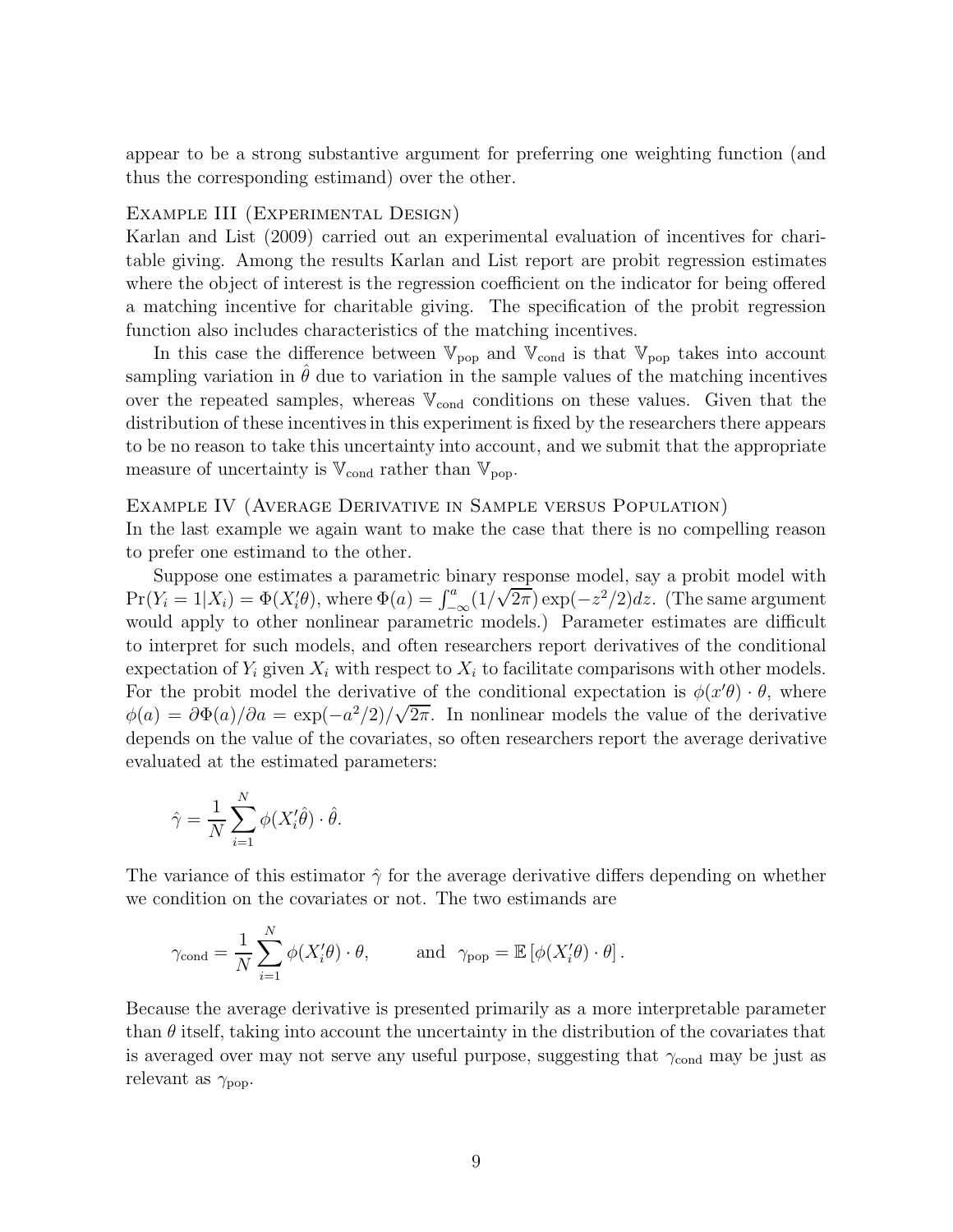appear to be a strong substantive argument for preferring one weighting function (and thus the corresponding estimand) over the other.

#### Example III (Experimental Design)

Karlan and List (2009) carried out an experimental evaluation of incentives for charitable giving. Among the results Karlan and List report are probit regression estimates where the object of interest is the regression coefficient on the indicator for being offered a matching incentive for charitable giving. The specification of the probit regression function also includes characteristics of the matching incentives.

In this case the difference between  $\mathbb{V}_{pop}$  and  $\mathbb{V}_{cond}$  is that  $\mathbb{V}_{pop}$  takes into account sampling variation in  $\theta$  due to variation in the sample values of the matching incentives over the repeated samples, whereas  $V_{\text{cond}}$  conditions on these values. Given that the distribution of these incentives in this experiment is fixed by the researchers there appears to be no reason to take this uncertainty into account, and we submit that the appropriate measure of uncertainty is  $\mathbb{V}_{\text{cond}}$  rather than  $\mathbb{V}_{\text{pop}}$ .

#### Example IV (Average Derivative in Sample versus Population)

In the last example we again want to make the case that there is no compelling reason to prefer one estimand to the other.

Suppose one estimates a parametric binary response model, say a probit model with  $\Pr(Y_i = 1 | X_i) = \Phi(X_i' \theta)$ , where  $\Phi(a) = \int_{-\infty}^a (1/\sqrt{2\pi}) \exp(-z^2/2) dz$ . (The same argument would apply to other nonlinear parametric models.) Parameter estimates are difficult to interpret for such models, and often researchers report derivatives of the conditional expectation of  $Y_i$  given  $X_i$  with respect to  $X_i$  to facilitate comparisons with other models. For the probit model the derivative of the conditional expectation is  $\phi(x'\theta) \cdot \theta$ , where  $\phi(a) = \frac{\partial \Phi(a)}{\partial a} = \exp(-\frac{a^2}{2})/\sqrt{2\pi}$ . In nonlinear models the value of the derivative depends on the value of the covariates, so often researchers report the average derivative evaluated at the estimated parameters:

$$
\hat{\gamma} = \frac{1}{N} \sum_{i=1}^{N} \phi(X_i' \hat{\theta}) \cdot \hat{\theta}.
$$

The variance of this estimator  $\hat{\gamma}$  for the average derivative differs depending on whether we condition on the covariates or not. The two estimands are

$$
\gamma_{\text{cond}} = \frac{1}{N} \sum_{i=1}^{N} \phi(X'_i \theta) \cdot \theta,
$$
 and  $\gamma_{\text{pop}} = \mathbb{E} [\phi(X'_i \theta) \cdot \theta].$ 

Because the average derivative is presented primarily as a more interpretable parameter than  $\theta$  itself, taking into account the uncertainty in the distribution of the covariates that is averaged over may not serve any useful purpose, suggesting that  $\gamma_{\text{cond}}$  may be just as relevant as  $\gamma_{\text{pop}}$ .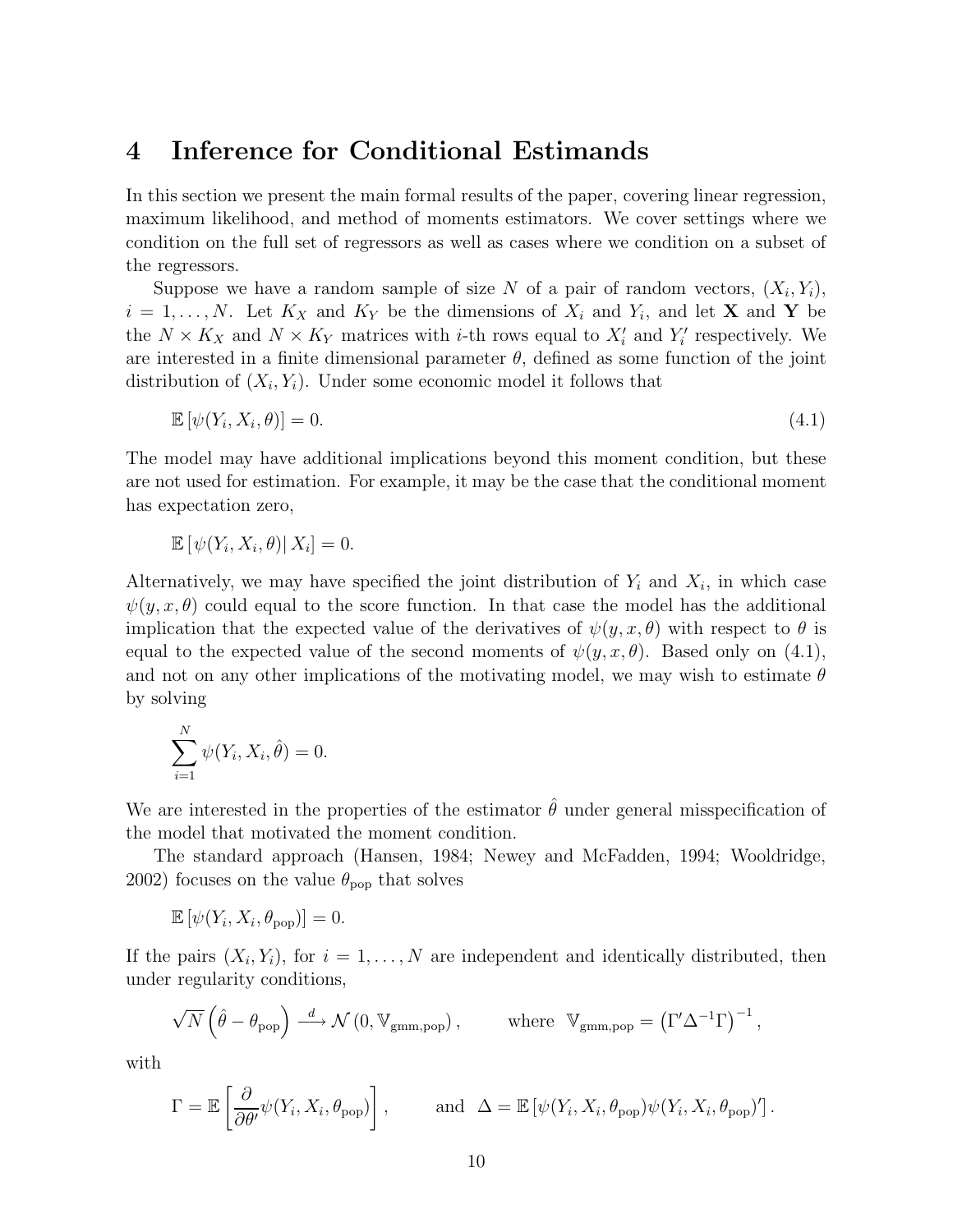## 4 Inference for Conditional Estimands

In this section we present the main formal results of the paper, covering linear regression, maximum likelihood, and method of moments estimators. We cover settings where we condition on the full set of regressors as well as cases where we condition on a subset of the regressors.

Suppose we have a random sample of size N of a pair of random vectors,  $(X_i, Y_i)$ ,  $i = 1, \ldots, N$ . Let  $K_X$  and  $K_Y$  be the dimensions of  $X_i$  and  $Y_i$ , and let **X** and **Y** be the  $N \times K_X$  and  $N \times K_Y$  matrices with *i*-th rows equal to  $X'_i$  and  $Y'_i$  respectively. We are interested in a finite dimensional parameter  $\theta$ , defined as some function of the joint distribution of  $(X_i, Y_i)$ . Under some economic model it follows that

$$
\mathbb{E}\left[\psi(Y_i, X_i, \theta)\right] = 0. \tag{4.1}
$$

The model may have additional implications beyond this moment condition, but these are not used for estimation. For example, it may be the case that the conditional moment has expectation zero,

$$
\mathbb{E}\left[\left.\psi(Y_i, X_i, \theta)\right| X_i\right] = 0.
$$

Alternatively, we may have specified the joint distribution of  $Y_i$  and  $X_i$ , in which case  $\psi(y, x, \theta)$  could equal to the score function. In that case the model has the additional implication that the expected value of the derivatives of  $\psi(y, x, \theta)$  with respect to  $\theta$  is equal to the expected value of the second moments of  $\psi(y, x, \theta)$ . Based only on (4.1), and not on any other implications of the motivating model, we may wish to estimate  $\theta$ by solving

$$
\sum_{i=1}^{N} \psi(Y_i, X_i, \hat{\theta}) = 0.
$$

We are interested in the properties of the estimator  $\hat{\theta}$  under general misspecification of the model that motivated the moment condition.

The standard approach (Hansen, 1984; Newey and McFadden, 1994; Wooldridge, 2002) focuses on the value  $\theta_{\text{pop}}$  that solves

$$
\mathbb{E}\left[\psi(Y_i, X_i, \theta_{\text{pop}})\right] = 0.
$$

If the pairs  $(X_i, Y_i)$ , for  $i = 1, \ldots, N$  are independent and identically distributed, then under regularity conditions,

$$
\sqrt{N} \left( \hat{\theta} - \theta_{\text{pop}} \right) \stackrel{d}{\longrightarrow} \mathcal{N} \left( 0, \mathbb{V}_{\text{gmm,pop}} \right), \qquad \text{where } \mathbb{V}_{\text{gmm,pop}} = \left( \Gamma' \Delta^{-1} \Gamma \right)^{-1},
$$

with

$$
\Gamma = \mathbb{E}\left[\frac{\partial}{\partial \theta'} \psi(Y_i, X_i, \theta_{\text{pop}})\right], \quad \text{and} \quad \Delta = \mathbb{E}\left[\psi(Y_i, X_i, \theta_{\text{pop}}) \psi(Y_i, X_i, \theta_{\text{pop}})\right].
$$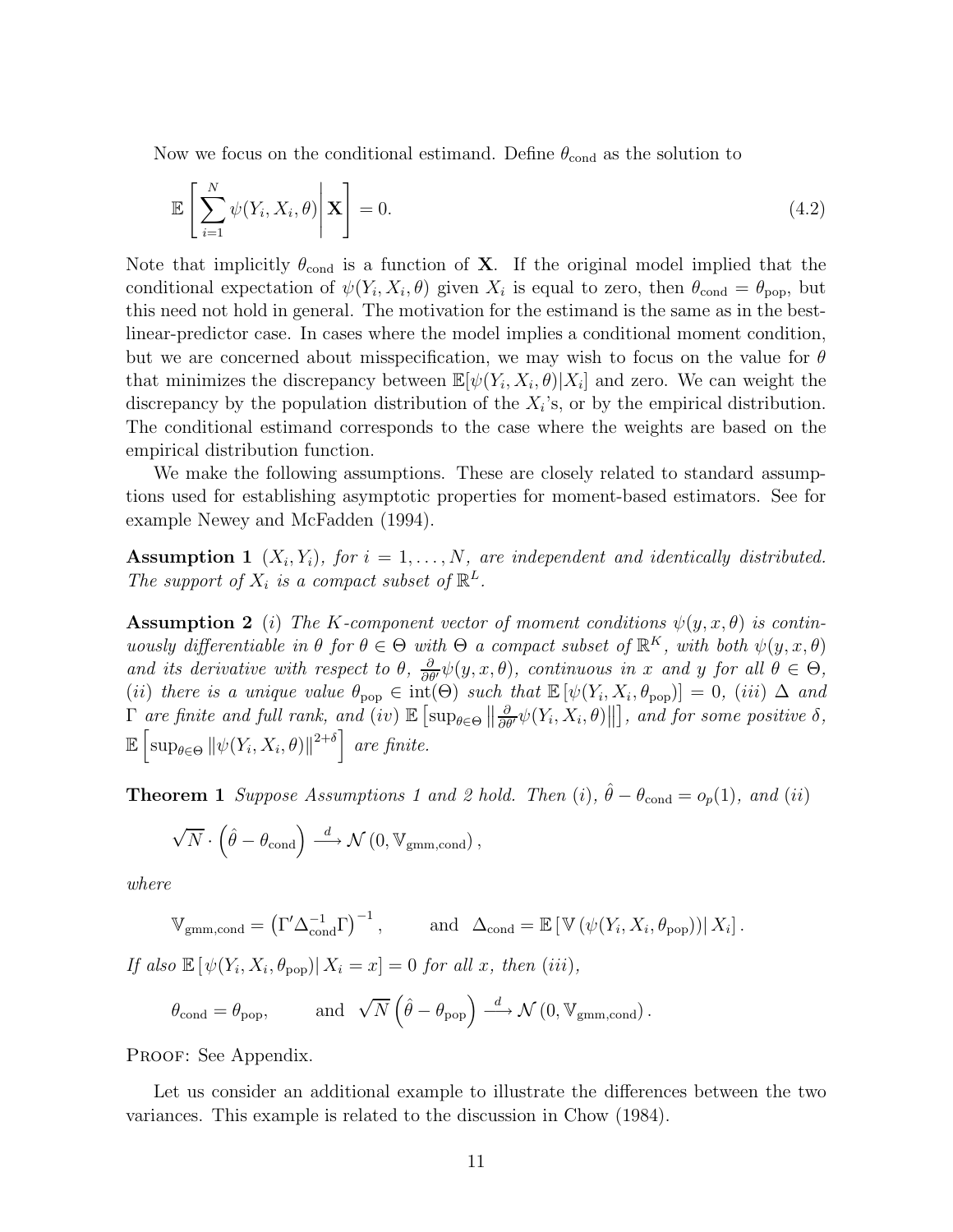Now we focus on the conditional estimand. Define  $\theta_{\text{cond}}$  as the solution to

$$
\mathbb{E}\left[\sum_{i=1}^{N} \psi(Y_i, X_i, \theta)\middle|\mathbf{X}\right] = 0.
$$
\n(4.2)

Note that implicitly  $\theta_{\text{cond}}$  is a function of **X**. If the original model implied that the conditional expectation of  $\psi(Y_i, X_i, \theta)$  given  $X_i$  is equal to zero, then  $\theta_{\text{cond}} = \theta_{\text{pop}}$ , but this need not hold in general. The motivation for the estimand is the same as in the bestlinear-predictor case. In cases where the model implies a conditional moment condition, but we are concerned about misspecification, we may wish to focus on the value for  $\theta$ that minimizes the discrepancy between  $\mathbb{E}[\psi(Y_i, X_i, \theta)|X_i]$  and zero. We can weight the discrepancy by the population distribution of the  $X_i$ 's, or by the empirical distribution. The conditional estimand corresponds to the case where the weights are based on the empirical distribution function.

We make the following assumptions. These are closely related to standard assumptions used for establishing asymptotic properties for moment-based estimators. See for example Newey and McFadden (1994).

**Assumption 1**  $(X_i, Y_i)$ , for  $i = 1, ..., N$ , are independent and identically distributed. The support of  $X_i$  is a compact subset of  $\mathbb{R}^L$ .

**Assumption 2** (i) The K-component vector of moment conditions  $\psi(y, x, \theta)$  is continuously differentiable in  $\theta$  for  $\theta \in \Theta$  with  $\Theta$  a compact subset of  $\mathbb{R}^K$ , with both  $\psi(y, x, \theta)$ and its derivative with respect to  $\theta$ ,  $\frac{\partial}{\partial \theta'} \psi(y, x, \theta)$ , continuous in x and y for all  $\theta \in \Theta$ , (ii) there is a unique value  $\theta_{\text{pop}} \in \text{int}(\Theta)$  such that  $\mathbb{E}[\psi(Y_i, X_i, \theta_{\text{pop}})] = 0$ , (iii)  $\Delta$  and  $\Gamma$  are finite and full rank, and (iv)  $\mathbb{E} \left[ \sup_{\theta \in \Theta} \left\| \frac{\partial}{\partial \theta'} \psi(Y_i, X_i, \theta) \right\| \right]$ , and for some positive  $\delta$ ,  $\mathbb{E}\left[\sup_{\theta\in\Theta} \|\psi(Y_i, X_i, \theta)\|^{2+\delta}\right]$  are finite.

**Theorem 1** Suppose Assumptions 1 and 2 hold. Then (i),  $\hat{\theta} - \theta_{\text{cond}} = o_p(1)$ , and (ii)

$$
\sqrt{N}\cdot\left(\widehat{\theta}-\theta_{\rm cond}\right)\stackrel{d}{\longrightarrow}\mathcal{N}\left(0,\mathbb{V}_{\rm gmm,cond}\right),
$$

where

$$
\mathbb{V}_{\text{gmm,cond}} = \left(\Gamma' \Delta_{\text{cond}}^{-1} \Gamma\right)^{-1}, \quad \text{and} \quad \Delta_{\text{cond}} = \mathbb{E} \left[\mathbb{V}\left(\psi(Y_i, X_i, \theta_{\text{pop}})\right) | X_i\right].
$$

If also  $\mathbb{E}[\psi(Y_i, X_i, \theta_{\text{pop}}) | X_i = x] = 0$  for all x, then (iii),

$$
\theta_{\rm cond} = \theta_{\rm pop}, \qquad \text{ and } \sqrt{N} \left( \hat{\theta} - \theta_{\rm pop} \right) \xrightarrow{d} \mathcal{N} \left( 0, \mathbb{V}_{\rm gmm, cond} \right).
$$

PROOF: See Appendix.

Let us consider an additional example to illustrate the differences between the two variances. This example is related to the discussion in Chow (1984).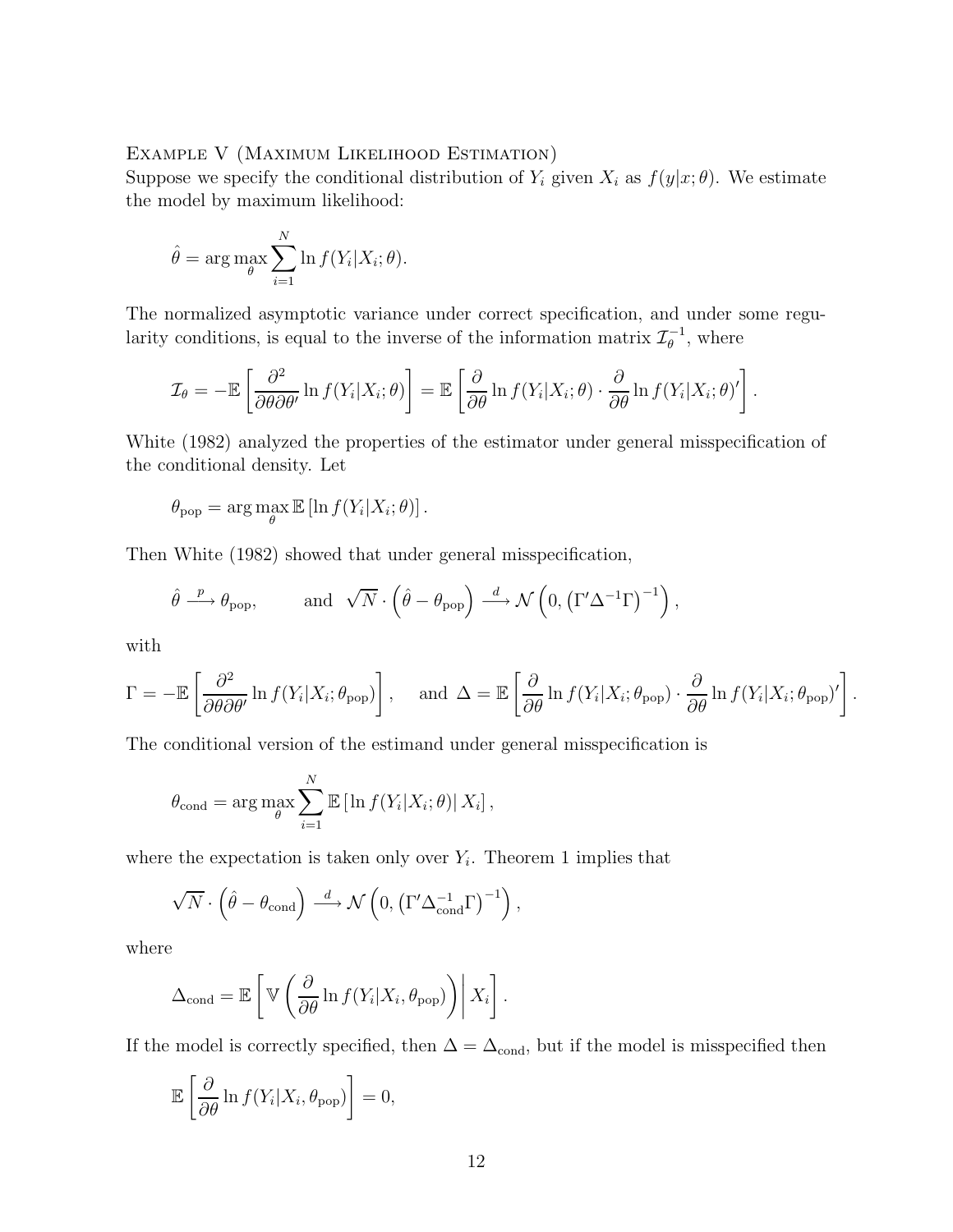### Example V (Maximum Likelihood Estimation)

Suppose we specify the conditional distribution of  $Y_i$  given  $X_i$  as  $f(y|x; \theta)$ . We estimate the model by maximum likelihood:

$$
\hat{\theta} = \arg \max_{\theta} \sum_{i=1}^{N} \ln f(Y_i | X_i; \theta).
$$

The normalized asymptotic variance under correct specification, and under some regularity conditions, is equal to the inverse of the information matrix  $\mathcal{I}_{\theta}^{-1}$ , where

$$
\mathcal{I}_{\theta} = -\mathbb{E}\left[\frac{\partial^2}{\partial \theta \partial \theta'} \ln f(Y_i|X_i;\theta)\right] = \mathbb{E}\left[\frac{\partial}{\partial \theta} \ln f(Y_i|X_i;\theta) \cdot \frac{\partial}{\partial \theta} \ln f(Y_i|X_i;\theta)'\right].
$$

White (1982) analyzed the properties of the estimator under general misspecification of the conditional density. Let

$$
\theta_{\text{pop}} = \arg \max_{\theta} \mathbb{E} \left[ \ln f(Y_i | X_i; \theta) \right].
$$

Then White (1982) showed that under general misspecification,

$$
\hat{\theta} \xrightarrow{p} \theta_{\text{pop}},
$$
 and  $\sqrt{N} \cdot (\hat{\theta} - \theta_{\text{pop}}) \xrightarrow{d} \mathcal{N} (0, (\Gamma' \Delta^{-1} \Gamma)^{-1}),$ 

with

$$
\Gamma = -\mathbb{E}\left[\frac{\partial^2}{\partial\theta\partial\theta'}\ln f(Y_i|X_i;\theta_{\text{pop}})\right], \text{ and } \Delta = \mathbb{E}\left[\frac{\partial}{\partial\theta}\ln f(Y_i|X_i;\theta_{\text{pop}})\cdot\frac{\partial}{\partial\theta}\ln f(Y_i|X_i;\theta_{\text{pop}})'\right].
$$

The conditional version of the estimand under general misspecification is

$$
\theta_{\text{cond}} = \arg \max_{\theta} \sum_{i=1}^{N} \mathbb{E} \left[ \ln f(Y_i | X_i; \theta) | X_i \right],
$$

where the expectation is taken only over  $Y_i$ . Theorem 1 implies that

$$
\sqrt{N} \cdot \left(\hat{\theta} - \theta_{\text{cond}}\right) \stackrel{d}{\longrightarrow} \mathcal{N}\left(0, \left(\Gamma' \Delta_{\text{cond}}^{-1} \Gamma\right)^{-1}\right),\,
$$

where

$$
\Delta_{\text{cond}} = \mathbb{E}\left[\mathbb{V}\left(\frac{\partial}{\partial \theta} \ln f(Y_i | X_i, \theta_{\text{pop}})\right) \middle| X_i\right].
$$

If the model is correctly specified, then  $\Delta=\Delta_{\rm cond},$  but if the model is misspecified then

$$
\mathbb{E}\left[\frac{\partial}{\partial \theta} \ln f(Y_i | X_i, \theta_{\text{pop}})\right] = 0,
$$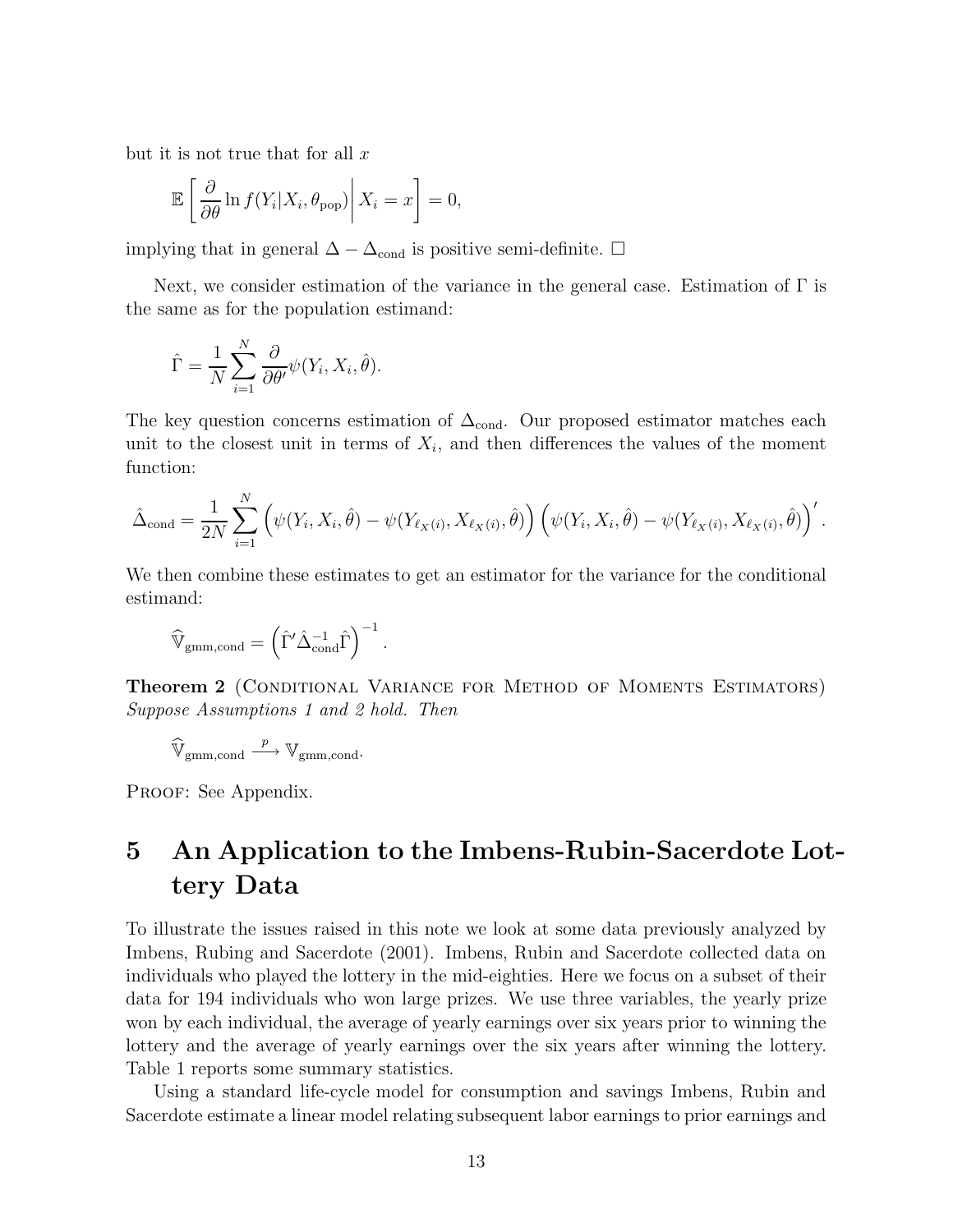but it is not true that for all  $x$ 

$$
\mathbb{E}\left[\left.\frac{\partial}{\partial \theta}\ln f(Y_i|X_i,\theta_{\text{pop}})\right|X_i=x\right]=0,
$$

implying that in general  $\Delta - \Delta_{\text{cond}}$  is positive semi-definite.  $\square$ 

Next, we consider estimation of the variance in the general case. Estimation of  $\Gamma$  is the same as for the population estimand:

$$
\hat{\Gamma} = \frac{1}{N} \sum_{i=1}^{N} \frac{\partial}{\partial \theta'} \psi(Y_i, X_i, \hat{\theta}).
$$

The key question concerns estimation of  $\Delta_{\text{cond}}$ . Our proposed estimator matches each unit to the closest unit in terms of  $X_i$ , and then differences the values of the moment function:

$$
\hat{\Delta}_{\text{cond}} = \frac{1}{2N} \sum_{i=1}^{N} \left( \psi(Y_i, X_i, \hat{\theta}) - \psi(Y_{\ell_X(i)}, X_{\ell_X(i)}, \hat{\theta}) \right) \left( \psi(Y_i, X_i, \hat{\theta}) - \psi(Y_{\ell_X(i)}, X_{\ell_X(i)}, \hat{\theta}) \right)'.
$$

We then combine these estimates to get an estimator for the variance for the conditional estimand:

$$
\widehat{\mathbb{V}}_{gmm,cond} = \left(\hat{\Gamma}' \hat{\Delta}_{cond}^{-1} \hat{\Gamma}\right)^{-1}.
$$

Theorem 2 (Conditional Variance for Method of Moments Estimators) Suppose Assumptions 1 and 2 hold. Then

$$
\widehat{\mathbb{V}}_{\mathrm{gmm,cond}} \xrightarrow{p} \mathbb{V}_{\mathrm{gmm,cond}}.
$$

PROOF: See Appendix.

# 5 An Application to the Imbens-Rubin-Sacerdote Lottery Data

To illustrate the issues raised in this note we look at some data previously analyzed by Imbens, Rubing and Sacerdote (2001). Imbens, Rubin and Sacerdote collected data on individuals who played the lottery in the mid-eighties. Here we focus on a subset of their data for 194 individuals who won large prizes. We use three variables, the yearly prize won by each individual, the average of yearly earnings over six years prior to winning the lottery and the average of yearly earnings over the six years after winning the lottery. Table 1 reports some summary statistics.

Using a standard life-cycle model for consumption and savings Imbens, Rubin and Sacerdote estimate a linear model relating subsequent labor earnings to prior earnings and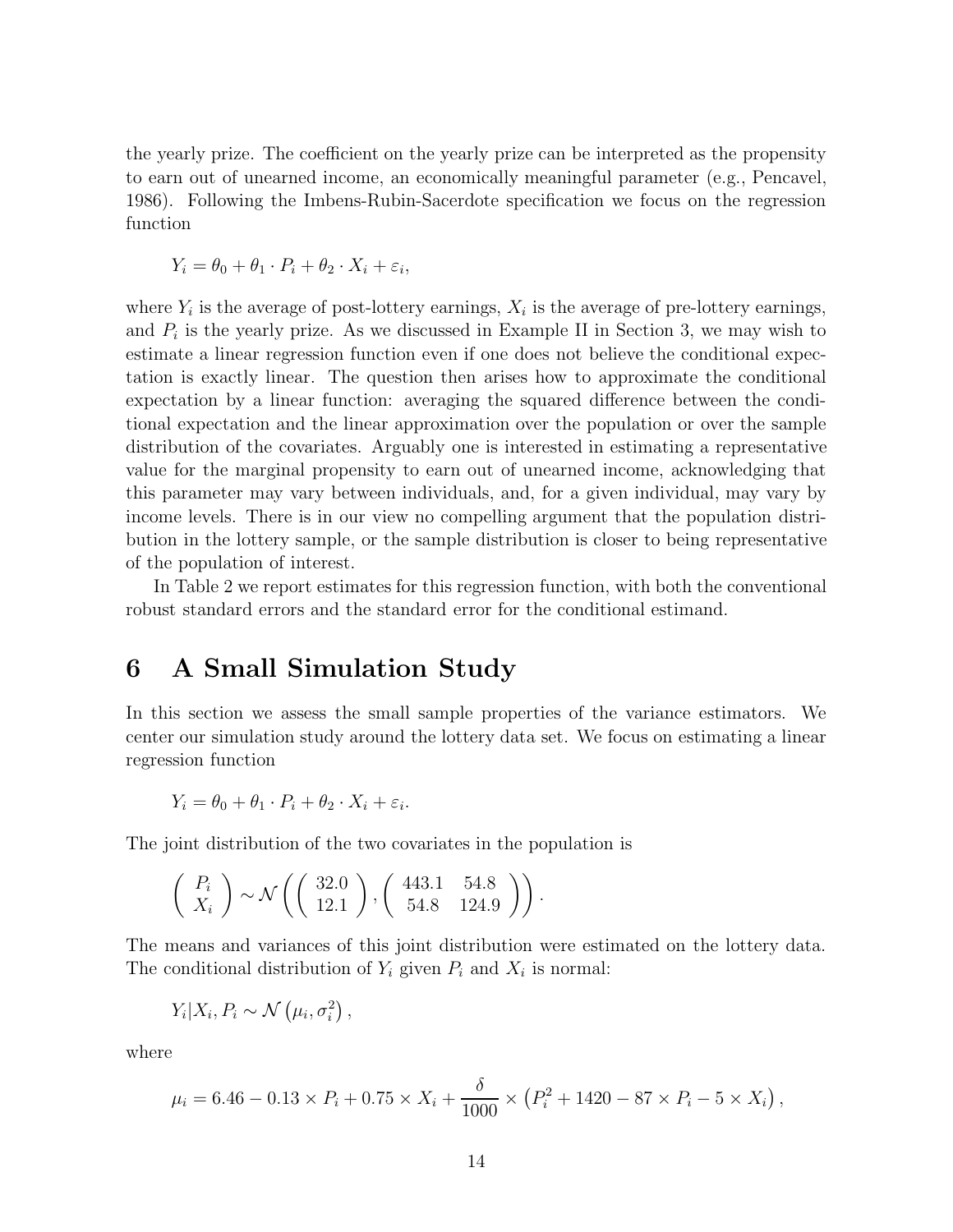the yearly prize. The coefficient on the yearly prize can be interpreted as the propensity to earn out of unearned income, an economically meaningful parameter (e.g., Pencavel, 1986). Following the Imbens-Rubin-Sacerdote specification we focus on the regression function

$$
Y_i = \theta_0 + \theta_1 \cdot P_i + \theta_2 \cdot X_i + \varepsilon_i,
$$

where  $Y_i$  is the average of post-lottery earnings,  $X_i$  is the average of pre-lottery earnings, and  $P_i$  is the yearly prize. As we discussed in Example II in Section 3, we may wish to estimate a linear regression function even if one does not believe the conditional expectation is exactly linear. The question then arises how to approximate the conditional expectation by a linear function: averaging the squared difference between the conditional expectation and the linear approximation over the population or over the sample distribution of the covariates. Arguably one is interested in estimating a representative value for the marginal propensity to earn out of unearned income, acknowledging that this parameter may vary between individuals, and, for a given individual, may vary by income levels. There is in our view no compelling argument that the population distribution in the lottery sample, or the sample distribution is closer to being representative of the population of interest.

In Table 2 we report estimates for this regression function, with both the conventional robust standard errors and the standard error for the conditional estimand.

# 6 A Small Simulation Study

In this section we assess the small sample properties of the variance estimators. We center our simulation study around the lottery data set. We focus on estimating a linear regression function

$$
Y_i = \theta_0 + \theta_1 \cdot P_i + \theta_2 \cdot X_i + \varepsilon_i.
$$

The joint distribution of the two covariates in the population is

$$
\left(\begin{array}{c} P_i \\ X_i \end{array}\right) \sim \mathcal{N}\left(\left(\begin{array}{c} 32.0 \\ 12.1 \end{array}\right), \left(\begin{array}{cc} 443.1 & 54.8 \\ 54.8 & 124.9 \end{array}\right)\right).
$$

The means and variances of this joint distribution were estimated on the lottery data. The conditional distribution of  $Y_i$  given  $P_i$  and  $X_i$  is normal:

$$
Y_i|X_i, P_i \sim \mathcal{N}(\mu_i, \sigma_i^2),
$$

where

$$
\mu_i = 6.46 - 0.13 \times P_i + 0.75 \times X_i + \frac{\delta}{1000} \times (P_i^2 + 1420 - 87 \times P_i - 5 \times X_i),
$$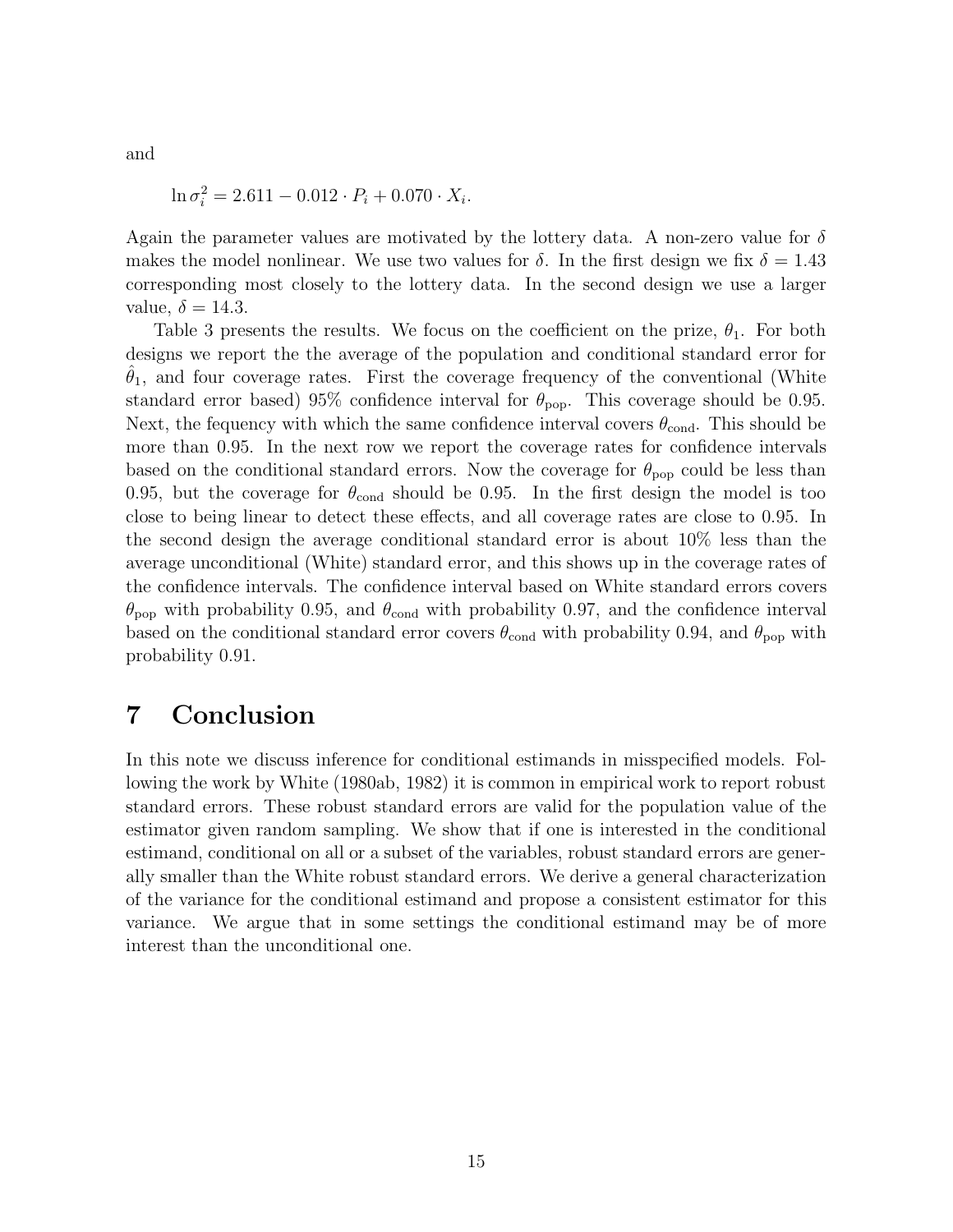and

$$
\ln \sigma_i^2 = 2.611 - 0.012 \cdot P_i + 0.070 \cdot X_i.
$$

Again the parameter values are motivated by the lottery data. A non-zero value for  $\delta$ makes the model nonlinear. We use two values for  $\delta$ . In the first design we fix  $\delta = 1.43$ corresponding most closely to the lottery data. In the second design we use a larger value,  $\delta = 14.3$ .

Table 3 presents the results. We focus on the coefficient on the prize,  $\theta_1$ . For both designs we report the the average of the population and conditional standard error for  $\theta_1$ , and four coverage rates. First the coverage frequency of the conventional (White standard error based) 95% confidence interval for  $\theta_{\text{pop}}$ . This coverage should be 0.95. Next, the fequency with which the same confidence interval covers  $\theta_{\text{cond}}$ . This should be more than 0.95. In the next row we report the coverage rates for confidence intervals based on the conditional standard errors. Now the coverage for  $\theta_{\text{pop}}$  could be less than 0.95, but the coverage for  $\theta_{\rm cond}$  should be 0.95. In the first design the model is too close to being linear to detect these effects, and all coverage rates are close to 0.95. In the second design the average conditional standard error is about 10% less than the average unconditional (White) standard error, and this shows up in the coverage rates of the confidence intervals. The confidence interval based on White standard errors covers  $\theta_{\text{pop}}$  with probability 0.95, and  $\theta_{\text{cond}}$  with probability 0.97, and the confidence interval based on the conditional standard error covers  $\theta_{\text{cond}}$  with probability 0.94, and  $\theta_{\text{pop}}$  with probability 0.91.

# 7 Conclusion

In this note we discuss inference for conditional estimands in misspecified models. Following the work by White (1980ab, 1982) it is common in empirical work to report robust standard errors. These robust standard errors are valid for the population value of the estimator given random sampling. We show that if one is interested in the conditional estimand, conditional on all or a subset of the variables, robust standard errors are generally smaller than the White robust standard errors. We derive a general characterization of the variance for the conditional estimand and propose a consistent estimator for this variance. We argue that in some settings the conditional estimand may be of more interest than the unconditional one.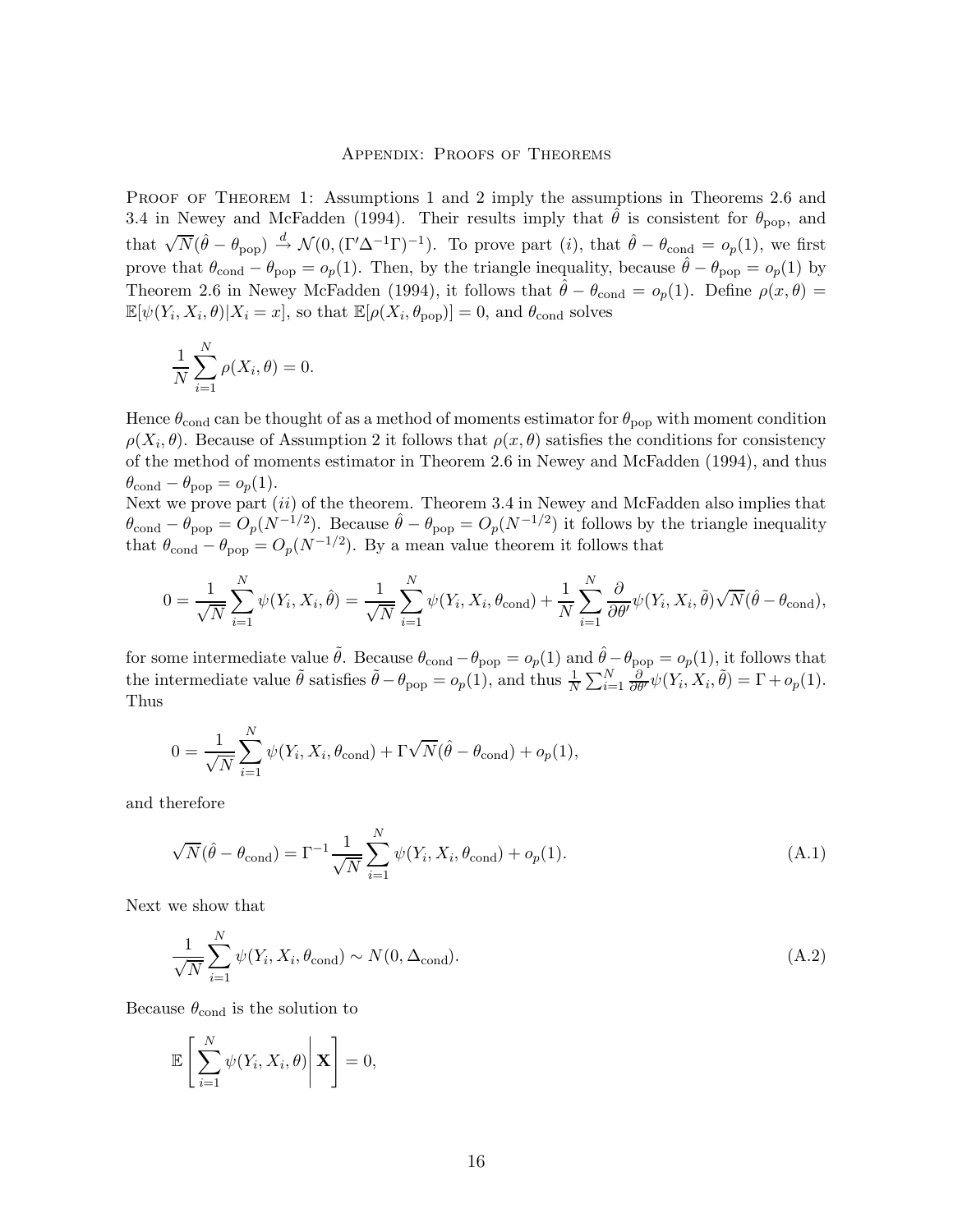#### Appendix: Proofs of Theorems

PROOF OF THEOREM 1: Assumptions 1 and 2 imply the assumptions in Theorems 2.6 and 3.4 in Newey and McFadden (1994). Their results imply that  $\theta$  is consistent for  $\theta_{\text{pop}}$ , and that  $\sqrt{N}(\hat{\theta} - \theta_{\text{pop}}) \stackrel{d}{\rightarrow} \mathcal{N}(0, (\Gamma' \Delta^{-1} \Gamma)^{-1})$ . To prove part  $(i)$ , that  $\hat{\theta} - \theta_{\text{cond}} = o_p(1)$ , we first prove that  $\theta_{\text{cond}} - \theta_{\text{pop}} = o_p(1)$ . Then, by the triangle inequality, because  $\hat{\theta} - \theta_{\text{pop}} = o_p(1)$  by Theorem 2.6 in Newey McFadden (1994), it follows that  $\hat{\theta} - \theta_{\text{cond}} = o_p(1)$ . Define  $\rho(x, \theta) =$  $\mathbb{E}[\psi(Y_i, X_i, \theta)|X_i = x]$ , so that  $\mathbb{E}[\rho(X_i, \theta_{\text{pop}})] = 0$ , and  $\theta_{\text{cond}}$  solves

$$
\frac{1}{N} \sum_{i=1}^{N} \rho(X_i, \theta) = 0.
$$

Hence  $\theta_{\text{cond}}$  can be thought of as a method of moments estimator for  $\theta_{\text{pop}}$  with moment condition  $\rho(X_i, \theta)$ . Because of Assumption 2 it follows that  $\rho(x, \theta)$  satisfies the conditions for consistency of the method of moments estimator in Theorem 2.6 in Newey and McFadden (1994), and thus  $\theta_{\text{cond}} - \theta_{\text{pop}} = o_p(1)$ .

Next we prove part  $(ii)$  of the theorem. Theorem 3.4 in Newey and McFadden also implies that  $\theta_{\text{cond}} - \theta_{\text{pop}} = O_p(N^{-1/2})$ . Because  $\hat{\theta} - \theta_{\text{pop}} = O_p(N^{-1/2})$  it follows by the triangle inequality that  $\theta_{\text{cond}} - \theta_{\text{pop}} = O_p(N^{-1/2})$ . By a mean value theorem it follows that

$$
0 = \frac{1}{\sqrt{N}} \sum_{i=1}^{N} \psi(Y_i, X_i, \hat{\theta}) = \frac{1}{\sqrt{N}} \sum_{i=1}^{N} \psi(Y_i, X_i, \theta_{\text{cond}}) + \frac{1}{N} \sum_{i=1}^{N} \frac{\partial}{\partial \theta'} \psi(Y_i, X_i, \tilde{\theta}) \sqrt{N} (\hat{\theta} - \theta_{\text{cond}}),
$$

for some intermediate value  $\tilde{\theta}$ . Because  $\theta_{\text{cond}} - \theta_{\text{pop}} = o_p(1)$  and  $\hat{\theta} - \theta_{\text{pop}} = o_p(1)$ , it follows that the intermediate value  $\tilde{\theta}$  satisfies  $\tilde{\theta} - \theta_{\text{pop}} = o_p(1)$ , and thus  $\frac{1}{N} \sum_{i=1}^N \frac{\partial}{\partial \theta^i} \psi(Y_i, X_i, \tilde{\theta}) = \Gamma + o_p(1)$ . Thus

$$
0 = \frac{1}{\sqrt{N}} \sum_{i=1}^{N} \psi(Y_i, X_i, \theta_{\text{cond}}) + \Gamma \sqrt{N} (\hat{\theta} - \theta_{\text{cond}}) + o_p(1),
$$

and therefore

$$
\sqrt{N}(\hat{\theta} - \theta_{\text{cond}}) = \Gamma^{-1} \frac{1}{\sqrt{N}} \sum_{i=1}^{N} \psi(Y_i, X_i, \theta_{\text{cond}}) + o_p(1).
$$
\n(A.1)

Next we show that

$$
\frac{1}{\sqrt{N}} \sum_{i=1}^{N} \psi(Y_i, X_i, \theta_{\text{cond}}) \sim N(0, \Delta_{\text{cond}}). \tag{A.2}
$$

Because  $\theta_{\text{cond}}$  is the solution to

$$
\mathbb{E}\left[\sum_{i=1}^N \psi(Y_i, X_i, \theta)\bigg| \mathbf{X}\right] = 0,
$$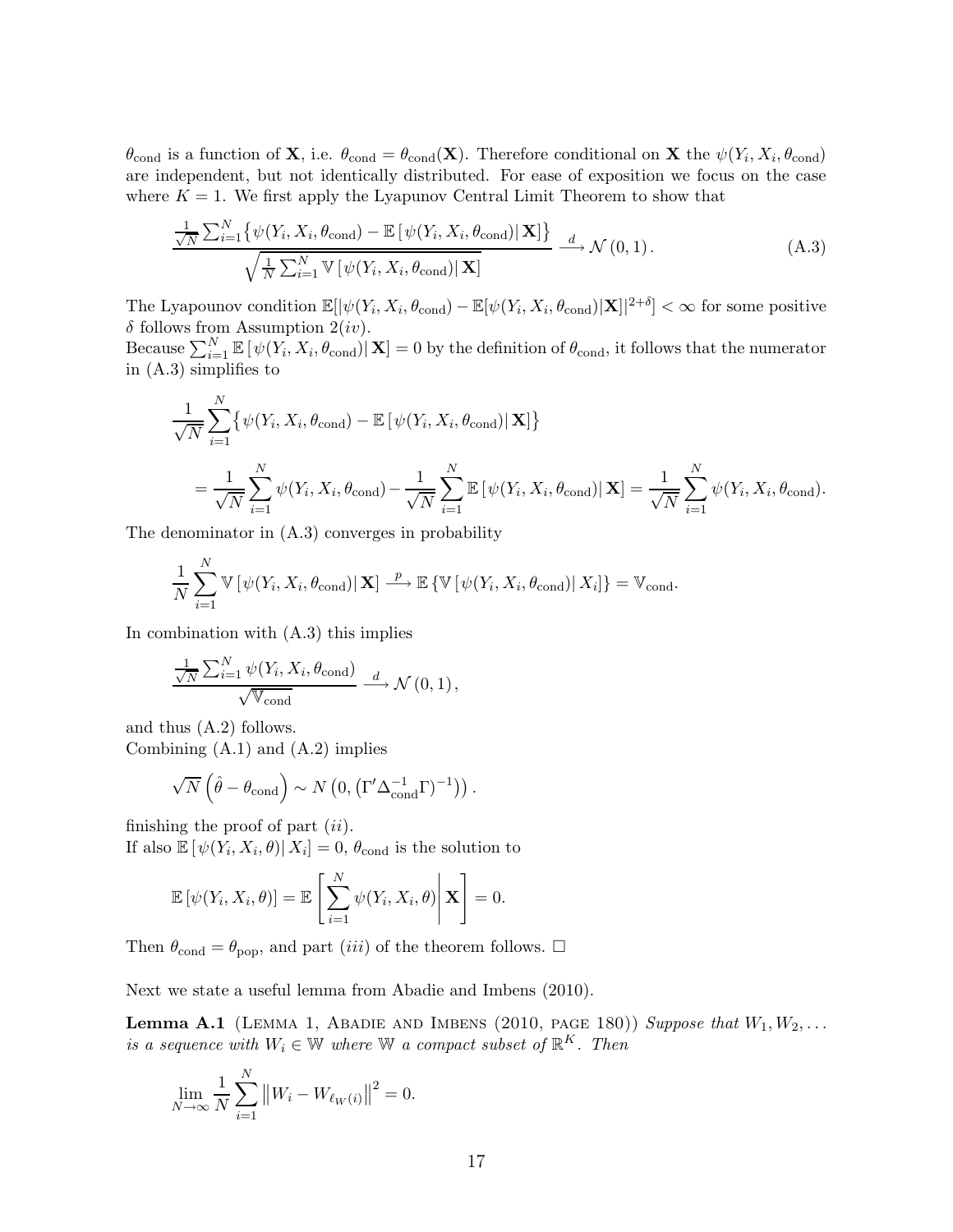$\theta_{\text{cond}}$  is a function of **X**, i.e.  $\theta_{\text{cond}} = \theta_{\text{cond}}(\mathbf{X})$ . Therefore conditional on **X** the  $\psi(Y_i, X_i, \theta_{\text{cond}})$ are independent, but not identically distributed. For ease of exposition we focus on the case where  $K = 1$ . We first apply the Lyapunov Central Limit Theorem to show that

$$
\frac{\frac{1}{\sqrt{N}}\sum_{i=1}^{N} \left\{ \psi(Y_i, X_i, \theta_{\text{cond}}) - \mathbb{E}\left[\psi(Y_i, X_i, \theta_{\text{cond}}) | \mathbf{X}\right] \right\}}{\sqrt{\frac{1}{N}\sum_{i=1}^{N} \mathbb{V}\left[\psi(Y_i, X_i, \theta_{\text{cond}}) | \mathbf{X}\right]}} \xrightarrow{d} \mathcal{N}(0, 1).
$$
\n(A.3)

The Lyapounov condition  $\mathbb{E}[|\psi(Y_i, X_i, \theta_{\text{cond}}) - \mathbb{E}[\psi(Y_i, X_i, \theta_{\text{cond}})|\mathbf{X}]|^{2+\delta}] < \infty$  for some positive  $\delta$  follows from Assumption 2(iv).

Because  $\sum_{i=1}^{N} \mathbb{E} [\psi(Y_i, X_i, \theta_{\text{cond}}) | \mathbf{X}] = 0$  by the definition of  $\theta_{\text{cond}}$ , it follows that the numerator in (A.3) simplifies to

$$
\frac{1}{\sqrt{N}} \sum_{i=1}^{N} \{ \psi(Y_i, X_i, \theta_{\text{cond}}) - \mathbb{E} \left[ \psi(Y_i, X_i, \theta_{\text{cond}}) | \mathbf{X} \right] \}
$$
\n
$$
= \frac{1}{\sqrt{N}} \sum_{i=1}^{N} \psi(Y_i, X_i, \theta_{\text{cond}}) - \frac{1}{\sqrt{N}} \sum_{i=1}^{N} \mathbb{E} \left[ \psi(Y_i, X_i, \theta_{\text{cond}}) | \mathbf{X} \right] = \frac{1}{\sqrt{N}} \sum_{i=1}^{N} \psi(Y_i, X_i, \theta_{\text{cond}}).
$$

The denominator in (A.3) converges in probability

$$
\frac{1}{N} \sum_{i=1}^{N} \mathbb{V} \left[ \psi(Y_i, X_i, \theta_{\text{cond}}) | \mathbf{X} \right] \stackrel{p}{\longrightarrow} \mathbb{E} \left\{ \mathbb{V} \left[ \psi(Y_i, X_i, \theta_{\text{cond}}) | X_i \right] \right\} = \mathbb{V}_{\text{cond}}.
$$

In combination with (A.3) this implies

$$
\frac{\frac{1}{\sqrt{N}}\sum_{i=1}^{N}\psi(Y_i, X_i, \theta_{\text{cond}})}{\sqrt{\mathbb{V}_{\text{cond}}}} \xrightarrow{d} \mathcal{N}(0, 1),
$$

and thus (A.2) follows.

Combining  $(A.1)$  and  $(A.2)$  implies

$$
\sqrt{N}\left(\hat{\theta}-\theta_{\rm cond}\right) \sim N\left(0, \left(\Gamma' \Delta_{\rm cond}^{-1} \Gamma\right)^{-1}\right)\right).
$$

finishing the proof of part  $(ii)$ . If also  $\mathbb{E}[\psi(Y_i, X_i, \theta) | X_i] = 0$ ,  $\theta_{\text{cond}}$  is the solution to

$$
\mathbb{E}\left[\psi(Y_i, X_i, \theta)\right] = \mathbb{E}\left[\sum_{i=1}^N \psi(Y_i, X_i, \theta)\middle|\mathbf{X}\right] = 0.
$$

Then  $\theta_{\text{cond}} = \theta_{\text{pop}}$ , and part *(iii)* of the theorem follows.  $\Box$ 

Next we state a useful lemma from Abadie and Imbens (2010).

**Lemma A.1** (LEMMA 1, ABADIE AND IMBENS (2010, PAGE 180)) Suppose that  $W_1, W_2, \ldots$ is a sequence with  $W_i \in \mathbb{W}$  where  $\mathbb{W}$  a compact subset of  $\mathbb{R}^K$ . Then

$$
\lim_{N \to \infty} \frac{1}{N} \sum_{i=1}^{N} ||W_i - W_{\ell_W(i)}||^2 = 0.
$$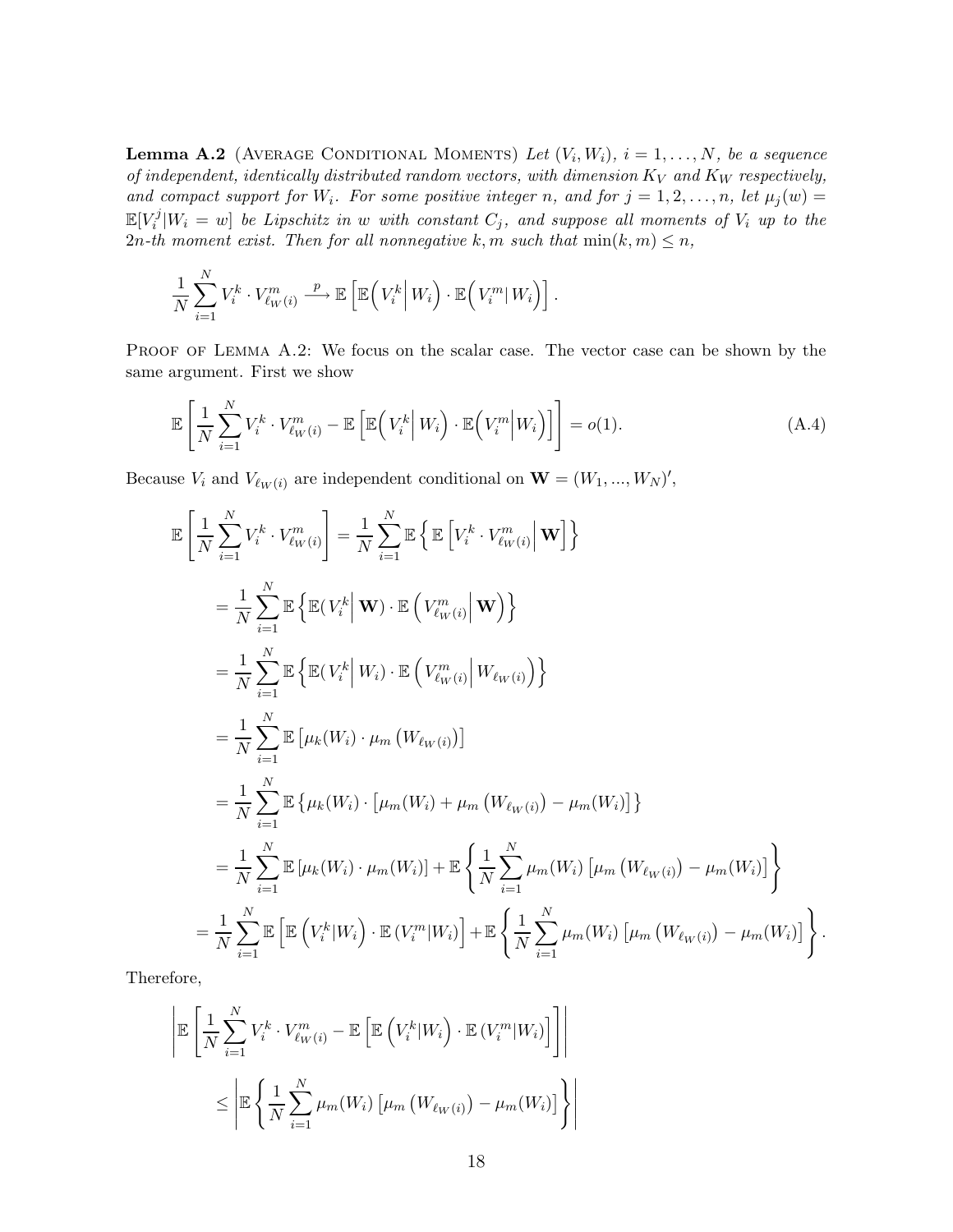**Lemma A.2** (AVERAGE CONDITIONAL MOMENTS) Let  $(V_i, W_i)$ ,  $i = 1, ..., N$ , be a sequence of independent, identically distributed random vectors, with dimension  $K_V$  and  $K_W$  respectively, and compact support for  $W_i$ . For some positive integer n, and for  $j = 1, 2, ..., n$ , let  $\mu_j(w) =$  $\mathbb{E}[V_i^j]$  $N_i^{\prime\prime}|W_i=w|$  be Lipschitz in w with constant  $C_j$ , and suppose all moments of  $V_i$  up to the 2n-th moment exist. Then for all nonnegative k, m such that  $\min(k, m) \leq n$ ,

$$
\frac{1}{N}\sum_{i=1}^N V_i^k \cdot V_{\ell_W(i)}^m \xrightarrow{p} \mathbb{E}\left[\mathbb{E}\left(V_i^k \middle| W_i\right) \cdot \mathbb{E}\left(V_i^m \middle| W_i\right)\right].
$$

PROOF OF LEMMA A.2: We focus on the scalar case. The vector case can be shown by the same argument. First we show

$$
\mathbb{E}\left[\frac{1}{N}\sum_{i=1}^{N}V_i^k\cdot V_{\ell_W(i)}^m - \mathbb{E}\left[\mathbb{E}\left(V_i^k\middle|W_i\right)\cdot\mathbb{E}\left(V_i^m\middle|W_i\right)\right]\right] = o(1). \tag{A.4}
$$

Because  $V_i$  and  $V_{\ell_W(i)}$  are independent conditional on  $\mathbf{W} = (W_1, ..., W_N)'$ ,

$$
\mathbb{E}\left[\frac{1}{N}\sum_{i=1}^{N}V_{i}^{k}\cdot V_{\ell w(i)}^{m}\right] = \frac{1}{N}\sum_{i=1}^{N}\mathbb{E}\left\{\mathbb{E}\left[V_{i}^{k}\cdot V_{\ell w(i)}^{m}\Big|\mathbf{W}\right]\right\}
$$
\n
$$
= \frac{1}{N}\sum_{i=1}^{N}\mathbb{E}\left\{\mathbb{E}(V_{i}^{k}\Big|\mathbf{W})\cdot\mathbb{E}\left(V_{\ell w(i)}^{m}\Big|\mathbf{W}\right)\right\}
$$
\n
$$
= \frac{1}{N}\sum_{i=1}^{N}\mathbb{E}\left\{\mathbb{E}(V_{i}^{k}\Big|W_{i})\cdot\mathbb{E}\left(V_{\ell w(i)}^{m}\Big|W_{\ell w(i)}\right)\right\}
$$
\n
$$
= \frac{1}{N}\sum_{i=1}^{N}\mathbb{E}\left[\mu_{k}(W_{i})\cdot\mu_{m}\left(W_{\ell w(i)}\right)\right]
$$
\n
$$
= \frac{1}{N}\sum_{i=1}^{N}\mathbb{E}\left\{\mu_{k}(W_{i})\cdot\left[\mu_{m}(W_{i})+\mu_{m}\left(W_{\ell w(i)}\right)-\mu_{m}(W_{i})\right]\right\}
$$
\n
$$
= \frac{1}{N}\sum_{i=1}^{N}\mathbb{E}\left[\mu_{k}(W_{i})\cdot\mu_{m}(W_{i})\right]+\mathbb{E}\left\{\frac{1}{N}\sum_{i=1}^{N}\mu_{m}(W_{i})\left[\mu_{m}\left(W_{\ell w(i)}\right)-\mu_{m}(W_{i})\right]\right\}
$$
\n
$$
= \frac{1}{N}\sum_{i=1}^{N}\mathbb{E}\left[\mathbb{E}\left(V_{i}^{k}|W_{i}\right)\cdot\mathbb{E}\left(V_{i}^{m}|W_{i}\right)\right]+\mathbb{E}\left\{\frac{1}{N}\sum_{i=1}^{N}\mu_{m}(W_{i})\left[\mu_{m}\left(W_{\ell w(i)}\right)-\mu_{m}(W_{i})\right]\right\}.
$$

Therefore,

$$
\left| \mathbb{E} \left[ \frac{1}{N} \sum_{i=1}^{N} V_i^k \cdot V_{\ell_W(i)}^m - \mathbb{E} \left[ \mathbb{E} \left( V_i^k | W_i \right) \cdot \mathbb{E} \left( V_i^m | W_i \right) \right] \right] \right|
$$
  

$$
\leq \left| \mathbb{E} \left\{ \frac{1}{N} \sum_{i=1}^{N} \mu_m(W_i) \left[ \mu_m \left( W_{\ell_W(i)} \right) - \mu_m(W_i) \right] \right\} \right|
$$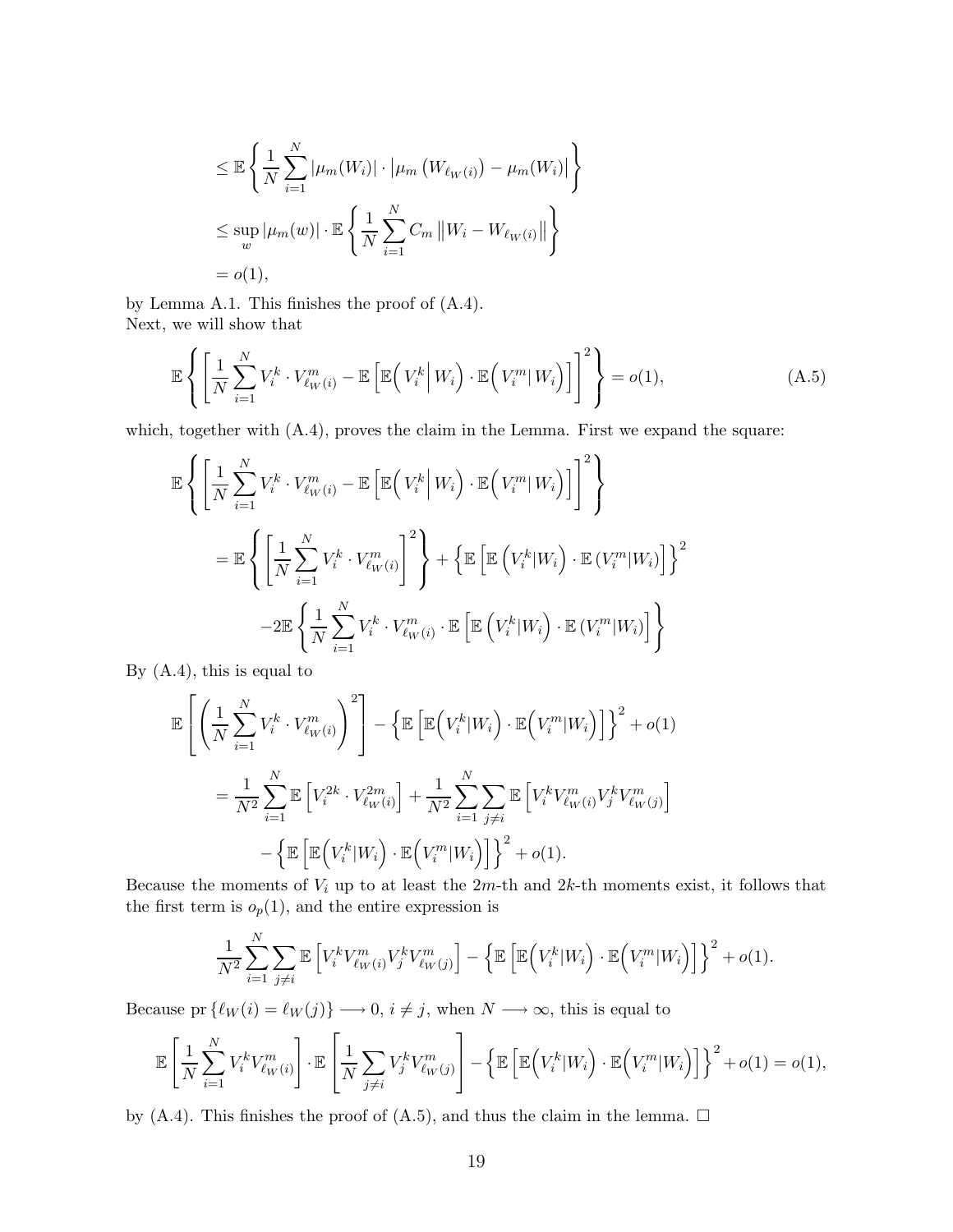$$
\leq \mathbb{E}\left\{\frac{1}{N}\sum_{i=1}^{N}|\mu_{m}(W_{i})|\cdot|\mu_{m}(W_{\ell_{W}(i)})-\mu_{m}(W_{i})|\right\}
$$
  

$$
\leq \sup_{w}|\mu_{m}(w)|\cdot \mathbb{E}\left\{\frac{1}{N}\sum_{i=1}^{N}C_{m}\left\|W_{i}-W_{\ell_{W}(i)}\right\|\right\}
$$
  
=  $o(1),$ 

by Lemma A.1. This finishes the proof of (A.4). Next, we will show that

$$
\mathbb{E}\left\{ \left[ \frac{1}{N} \sum_{i=1}^{N} V_i^k \cdot V_{\ell W(i)}^m - \mathbb{E}\left[ \mathbb{E}\left( V_i^k \, \middle| \, W_i \right) \cdot \mathbb{E}\left( V_i^m \middle| \, W_i \right) \right] \right]^2 \right\} = o(1),\tag{A.5}
$$

which, together with  $(A.4)$ , proves the claim in the Lemma. First we expand the square:

$$
\mathbb{E}\left\{\left[\frac{1}{N}\sum_{i=1}^{N}V_{i}^{k}\cdot V_{\ell_{W}(i)}^{m}-\mathbb{E}\left[\mathbb{E}\left(V_{i}^{k}\Big|W_{i}\right)\cdot\mathbb{E}\left(V_{i}^{m}|W_{i}\right)\right]\right]^{2}\right\}
$$
\n
$$
=\mathbb{E}\left\{\left[\frac{1}{N}\sum_{i=1}^{N}V_{i}^{k}\cdot V_{\ell_{W}(i)}^{m}\right]^{2}\right\}+\left\{\mathbb{E}\left[\mathbb{E}\left(V_{i}^{k}|W_{i}\right)\cdot\mathbb{E}\left(V_{i}^{m}|W_{i}\right)\right]\right\}^{2}
$$
\n
$$
-2\mathbb{E}\left\{\frac{1}{N}\sum_{i=1}^{N}V_{i}^{k}\cdot V_{\ell_{W}(i)}^{m}\cdot\mathbb{E}\left[\mathbb{E}\left(V_{i}^{k}|W_{i}\right)\cdot\mathbb{E}\left(V_{i}^{m}|W_{i}\right)\right]\right\}
$$

By (A.4), this is equal to

$$
\mathbb{E}\left[\left(\frac{1}{N}\sum_{i=1}^{N}V_i^k\cdot V_{\ell_W(i)}^m\right)^2\right] - \left\{\mathbb{E}\left[\mathbb{E}\left(V_i^k|W_i\right)\cdot\mathbb{E}\left(V_i^m|W_i\right)\right]\right\}^2 + o(1)
$$

$$
= \frac{1}{N^2}\sum_{i=1}^{N}\mathbb{E}\left[V_i^{2k}\cdot V_{\ell_W(i)}^{2m}\right] + \frac{1}{N^2}\sum_{i=1}^{N}\sum_{j\neq i}\mathbb{E}\left[V_i^kV_{\ell_W(i)}^mV_j^kV_{\ell_W(j)}^m\right]
$$

$$
- \left\{\mathbb{E}\left[\mathbb{E}\left(V_i^k|W_i\right)\cdot\mathbb{E}\left(V_i^m|W_i\right)\right]\right\}^2 + o(1).
$$

Because the moments of  $V_i$  up to at least the  $2m$ -th and  $2k$ -th moments exist, it follows that the first term is  $o_p(1)$ , and the entire expression is

$$
\frac{1}{N^2} \sum_{i=1}^N \sum_{j \neq i} \mathbb{E} \left[ V_i^k V_{\ell_W(i)}^m V_j^k V_{\ell_W(j)}^m \right] - \left\{ \mathbb{E} \left[ \mathbb{E} \left( V_i^k | W_i \right) \cdot \mathbb{E} \left( V_i^m | W_i \right) \right] \right\}^2 + o(1).
$$

Because pr  $\{\ell_W (i) = \ell_W (j)\} \longrightarrow 0, i \neq j$ , when  $N \longrightarrow \infty$ , this is equal to

$$
\mathbb{E}\left[\frac{1}{N}\sum_{i=1}^N V_i^k V_{\ell_W(i)}^m\right] \cdot \mathbb{E}\left[\frac{1}{N}\sum_{j\neq i} V_j^k V_{\ell_W(j)}^m\right] - \left\{\mathbb{E}\left[\mathbb{E}\left(V_i^k|W_i\right) \cdot \mathbb{E}\left(V_i^m|W_i\right)\right]\right\}^2 + o(1) = o(1),
$$

by (A.4). This finishes the proof of (A.5), and thus the claim in the lemma.  $\Box$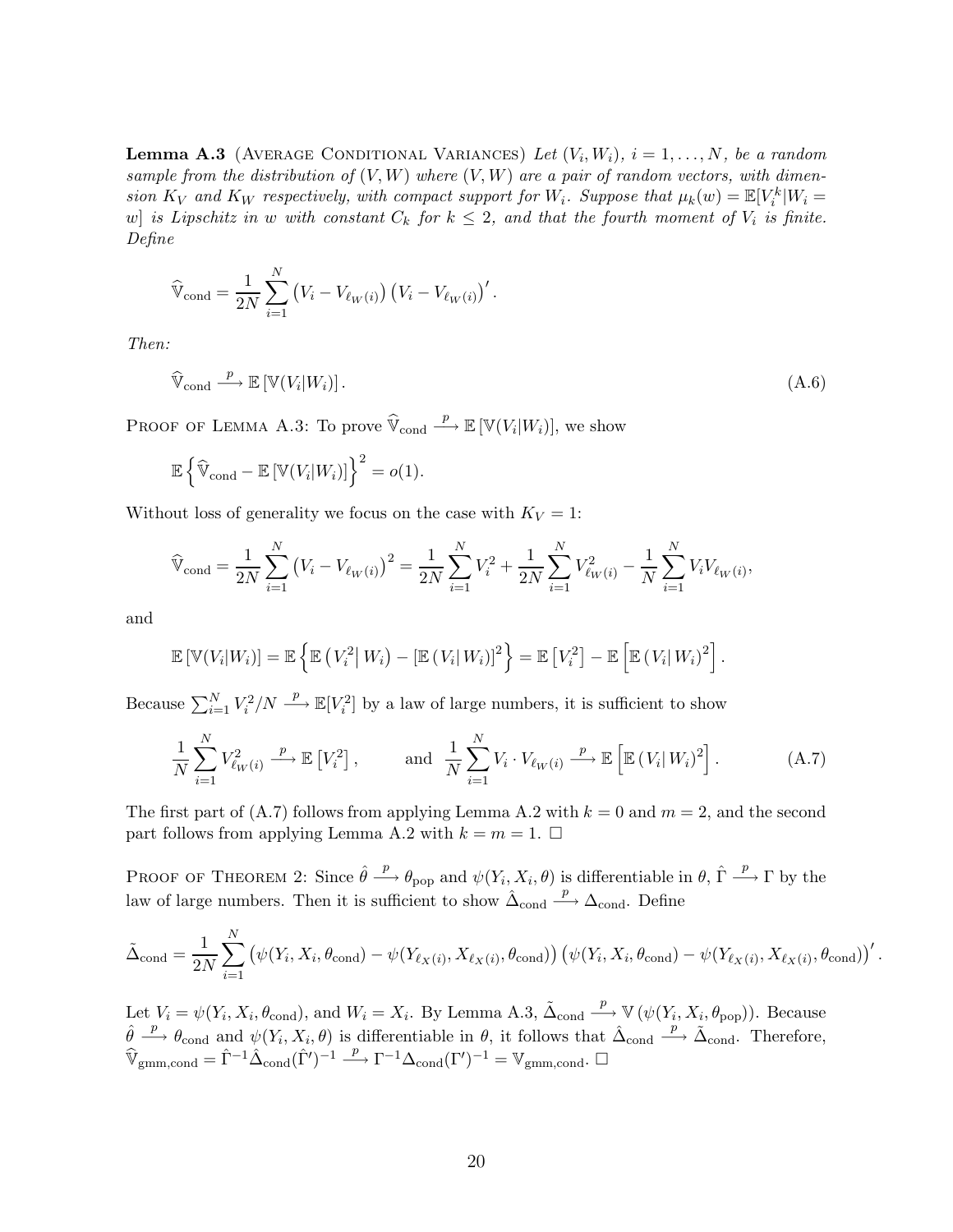**Lemma A.3** (AVERAGE CONDITIONAL VARIANCES) Let  $(V_i, W_i)$ ,  $i = 1, ..., N$ , be a random sample from the distribution of  $(V, W)$  where  $(V, W)$  are a pair of random vectors, with dimension  $K_V$  and  $K_W$  respectively, with compact support for  $W_i$ . Suppose that  $\mu_k(w) = \mathbb{E}[V_i^k|W_i =$ w] is Lipschitz in w with constant  $C_k$  for  $k \leq 2$ , and that the fourth moment of  $V_i$  is finite. Define

$$
\widehat{V}_{\text{cond}} = \frac{1}{2N} \sum_{i=1}^{N} (V_i - V_{\ell_W(i)}) (V_i - V_{\ell_W(i)})'.
$$

Then:

$$
\widehat{\mathbb{V}}_{\text{cond}} \xrightarrow{p} \mathbb{E}\left[\mathbb{V}(V_i|W_i)\right].\tag{A.6}
$$

PROOF OF LEMMA A.3: To prove  $\widehat{\mathbb{V}}_{\text{cond}}$  $\stackrel{p}{\longrightarrow} \mathbb{E} \left[ \mathbb{V}(V_i|W_i) \right],$  we show

$$
\mathbb{E}\left\{\widehat{\mathbb{V}}_{\text{cond}} - \mathbb{E}\left[\mathbb{V}(V_i|W_i)\right]\right\}^2 = o(1).
$$

Without loss of generality we focus on the case with  $K_V = 1$ :

$$
\widehat{\mathbb{V}}_{\text{cond}} = \frac{1}{2N} \sum_{i=1}^{N} (V_i - V_{\ell_W(i)})^2 = \frac{1}{2N} \sum_{i=1}^{N} V_i^2 + \frac{1}{2N} \sum_{i=1}^{N} V_{\ell_W(i)}^2 - \frac{1}{N} \sum_{i=1}^{N} V_i V_{\ell_W(i)},
$$

and

$$
\mathbb{E}\left[\mathbb{V}(V_i|W_i)\right] = \mathbb{E}\left\{\mathbb{E}\left(V_i^2|W_i\right) - \left[\mathbb{E}\left(V_i|W_i\right)\right]^2\right\} = \mathbb{E}\left[V_i^2\right] - \mathbb{E}\left[\mathbb{E}\left(V_i|W_i\right)^2\right].
$$

Because  $\sum_{i=1}^{N} V_i^2/N \stackrel{p}{\longrightarrow} \mathbb{E}[V_i^2]$  by a law of large numbers, it is sufficient to show

$$
\frac{1}{N} \sum_{i=1}^{N} V_{\ell_{W}(i)}^{2} \xrightarrow{p} \mathbb{E}\left[V_{i}^{2}\right], \quad \text{and} \quad \frac{1}{N} \sum_{i=1}^{N} V_{i} \cdot V_{\ell_{W}(i)} \xrightarrow{p} \mathbb{E}\left[\mathbb{E}\left(V_{i} | W_{i}\right)^{2}\right]. \tag{A.7}
$$

The first part of (A.7) follows from applying Lemma A.2 with  $k = 0$  and  $m = 2$ , and the second part follows from applying Lemma A.2 with  $k = m = 1$ .

PROOF OF THEOREM 2: Since  $\hat{\theta} \stackrel{p}{\longrightarrow} \theta_{\text{pop}}$  and  $\psi(Y_i, X_i, \theta)$  is differentiable in  $\theta$ ,  $\hat{\Gamma} \stackrel{p}{\longrightarrow} \Gamma$  by the law of large numbers. Then it is sufficient to show  $\hat{\Delta}_{\text{cond}}$  $\xrightarrow{p} \Delta$ <sub>cond</sub>. Define

$$
\tilde{\Delta}_{\text{cond}} = \frac{1}{2N} \sum_{i=1}^{N} (\psi(Y_i, X_i, \theta_{\text{cond}}) - \psi(Y_{\ell_X(i)}, X_{\ell_X(i)}, \theta_{\text{cond}})) (\psi(Y_i, X_i, \theta_{\text{cond}}) - \psi(Y_{\ell_X(i)}, X_{\ell_X(i)}, \theta_{\text{cond}}))'
$$

Let  $V_i = \psi(Y_i, X_i, \theta_{\text{cond}})$ , and  $W_i = X_i$ . By Lemma A.3,  $\tilde{\Delta}_{\text{cond}}$  $\stackrel{p}{\longrightarrow} \mathbb{V}(\psi(Y_i, X_i, \theta_{\text{pop}})).$  Because  $\hat{\theta} \stackrel{p}{\longrightarrow} \theta_{\text{cond}}$  and  $\psi(Y_i, X_i, \theta)$  is differentiable in  $\theta$ , it follows that  $\hat{\Delta}_{\text{cond}}$  $\stackrel{p}{\longrightarrow} \tilde{\Delta}_{\text{cond}}$ . Therefore,  $\widehat{\mathbb{V}}_{\text{gmm,cond}} = \widehat{\Gamma}^{-1} \widehat{\Delta}_{\text{cond}}(\widehat{\Gamma}')^{-1} \stackrel{p}{\longrightarrow} \Gamma^{-1} \Delta_{\text{cond}}(\Gamma')^{-1} = \mathbb{V}_{\text{gmm,cond}}.$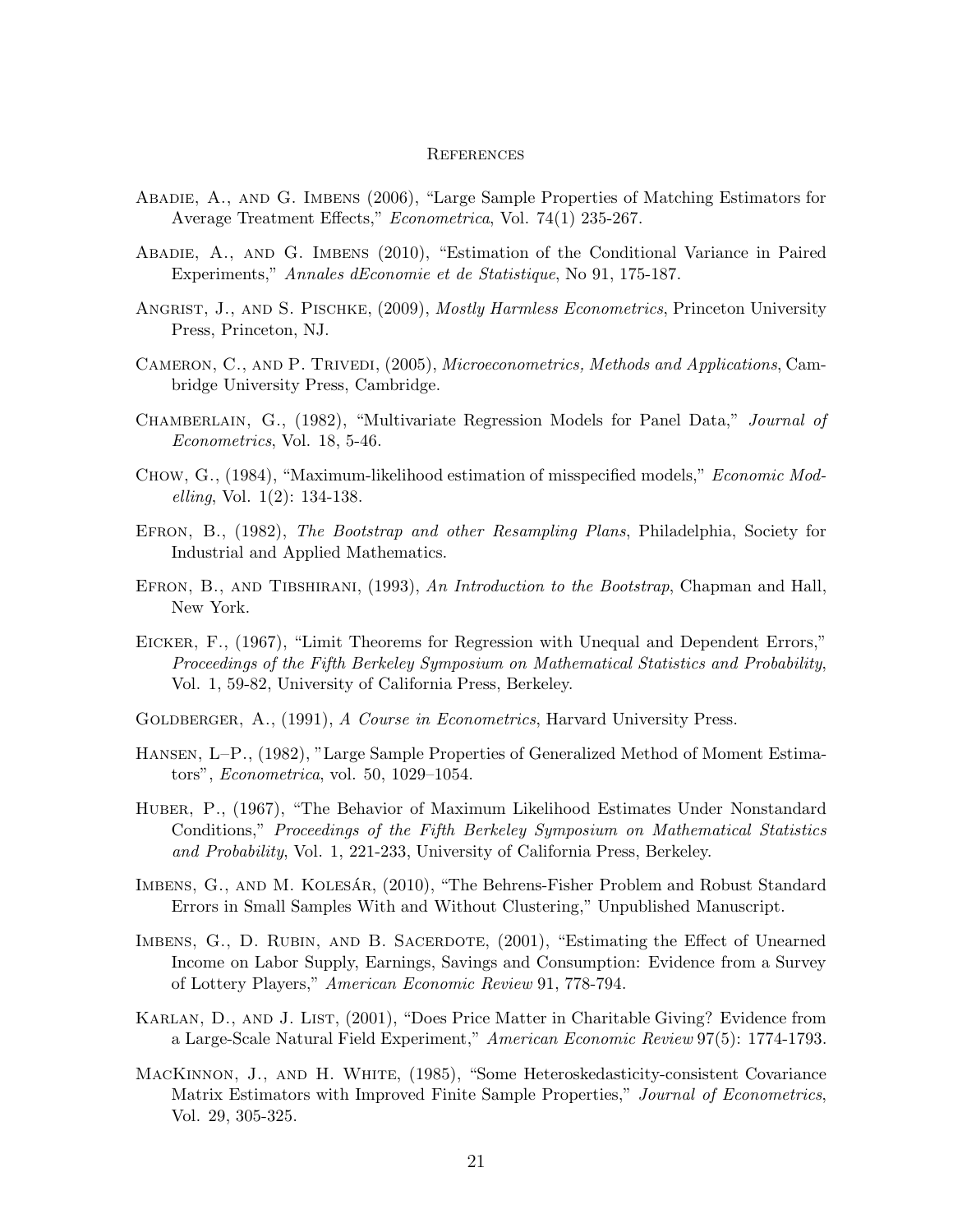#### **REFERENCES**

- Abadie, A., and G. Imbens (2006), "Large Sample Properties of Matching Estimators for Average Treatment Effects," Econometrica, Vol. 74(1) 235-267.
- Abadie, A., and G. Imbens (2010), "Estimation of the Conditional Variance in Paired Experiments," Annales dEconomie et de Statistique, No 91, 175-187.
- ANGRIST, J., AND S. PISCHKE, (2009), *Mostly Harmless Econometrics*, Princeton University Press, Princeton, NJ.
- Cameron, C., and P. Trivedi, (2005), Microeconometrics, Methods and Applications, Cambridge University Press, Cambridge.
- Chamberlain, G., (1982), "Multivariate Regression Models for Panel Data," Journal of Econometrics, Vol. 18, 5-46.
- Chow, G., (1984), "Maximum-likelihood estimation of misspecified models," Economic Modelling, Vol. 1(2): 134-138.
- EFRON, B., (1982), The Bootstrap and other Resampling Plans, Philadelphia, Society for Industrial and Applied Mathematics.
- EFRON, B., AND TIBSHIRANI, (1993), An Introduction to the Bootstrap, Chapman and Hall, New York.
- Eicker, F., (1967), "Limit Theorems for Regression with Unequal and Dependent Errors," Proceedings of the Fifth Berkeley Symposium on Mathematical Statistics and Probability, Vol. 1, 59-82, University of California Press, Berkeley.
- GOLDBERGER, A., (1991), A Course in Econometrics, Harvard University Press.
- Hansen, L–P., (1982), "Large Sample Properties of Generalized Method of Moment Estimators", Econometrica, vol. 50, 1029–1054.
- Huber, P., (1967), "The Behavior of Maximum Likelihood Estimates Under Nonstandard Conditions," Proceedings of the Fifth Berkeley Symposium on Mathematical Statistics and Probability, Vol. 1, 221-233, University of California Press, Berkeley.
- IMBENS, G., AND M. KOLESAR, (2010), "The Behrens-Fisher Problem and Robust Standard Errors in Small Samples With and Without Clustering," Unpublished Manuscript.
- IMBENS, G., D. RUBIN, AND B. SACERDOTE,  $(2001)$ , "Estimating the Effect of Unearned Income on Labor Supply, Earnings, Savings and Consumption: Evidence from a Survey of Lottery Players," American Economic Review 91, 778-794.
- KARLAN, D., AND J. LIST, (2001), "Does Price Matter in Charitable Giving? Evidence from a Large-Scale Natural Field Experiment," American Economic Review 97(5): 1774-1793.
- MacKinnon, J., and H. White, (1985), "Some Heteroskedasticity-consistent Covariance Matrix Estimators with Improved Finite Sample Properties," Journal of Econometrics, Vol. 29, 305-325.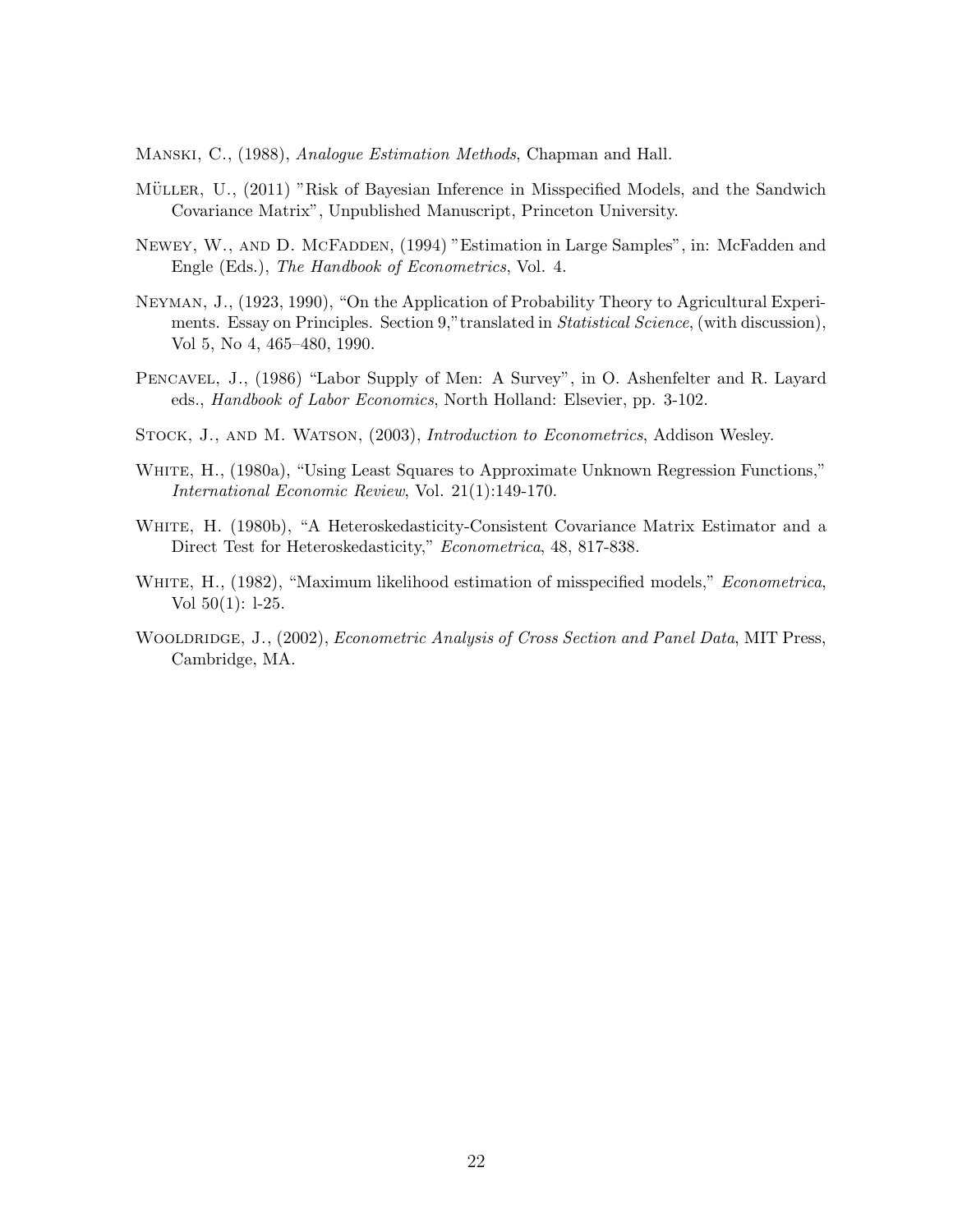Manski, C., (1988), Analogue Estimation Methods, Chapman and Hall.

- MÜLLER, U., (2011) "Risk of Bayesian Inference in Misspecified Models, and the Sandwich Covariance Matrix", Unpublished Manuscript, Princeton University.
- Newey, W., and D. McFadden, (1994) "Estimation in Large Samples", in: McFadden and Engle (Eds.), The Handbook of Econometrics, Vol. 4.
- Neyman, J., (1923, 1990), "On the Application of Probability Theory to Agricultural Experiments. Essay on Principles. Section 9," translated in *Statistical Science*, (with discussion), Vol 5, No 4, 465–480, 1990.
- Pencavel, J., (1986) "Labor Supply of Men: A Survey", in O. Ashenfelter and R. Layard eds., Handbook of Labor Economics, North Holland: Elsevier, pp. 3-102.
- STOCK, J., AND M. WATSON,  $(2003)$ , *Introduction to Econometrics*, Addison Wesley.
- WHITE, H., (1980a), "Using Least Squares to Approximate Unknown Regression Functions," International Economic Review, Vol. 21(1):149-170.
- WHITE, H. (1980b), "A Heteroskedasticity-Consistent Covariance Matrix Estimator and a Direct Test for Heteroskedasticity," Econometrica, 48, 817-838.
- WHITE, H., (1982), "Maximum likelihood estimation of misspecified models," *Econometrica*, Vol  $50(1)$ : 1-25.
- WOOLDRIDGE, J., (2002), *Econometric Analysis of Cross Section and Panel Data*, MIT Press, Cambridge, MA.